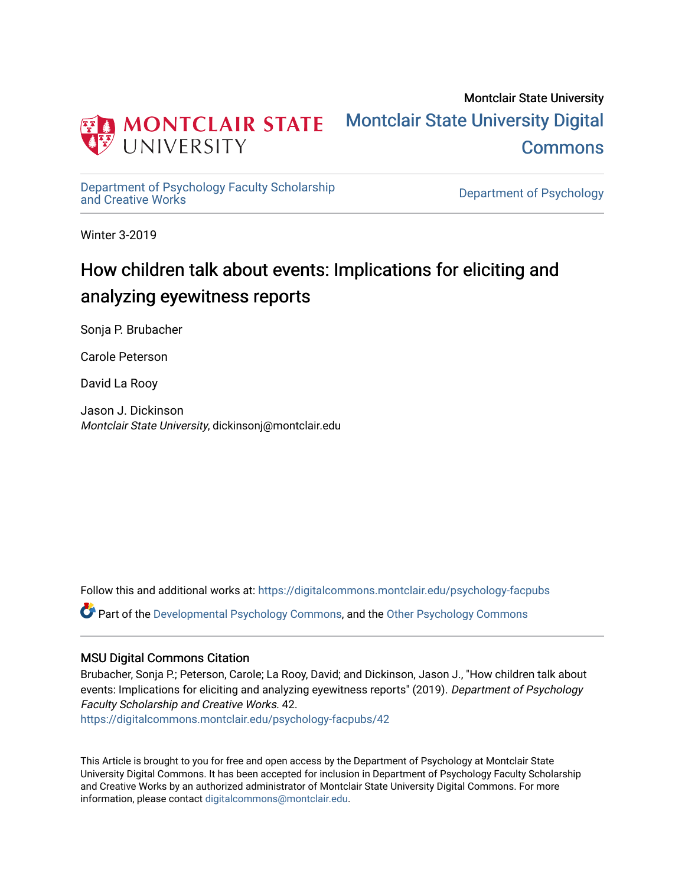

Montclair State University [Montclair State University Digital](https://digitalcommons.montclair.edu/)  **Commons** 

[Department of Psychology Faculty Scholarship](https://digitalcommons.montclair.edu/psychology-facpubs) 

Department of Psychology

Winter 3-2019

## How children talk about events: Implications for eliciting and analyzing eyewitness reports

Sonja P. Brubacher

Carole Peterson

David La Rooy

Jason J. Dickinson Montclair State University, dickinsonj@montclair.edu

Follow this and additional works at: [https://digitalcommons.montclair.edu/psychology-facpubs](https://digitalcommons.montclair.edu/psychology-facpubs?utm_source=digitalcommons.montclair.edu%2Fpsychology-facpubs%2F42&utm_medium=PDF&utm_campaign=PDFCoverPages) 

Part of the [Developmental Psychology Commons,](http://network.bepress.com/hgg/discipline/410?utm_source=digitalcommons.montclair.edu%2Fpsychology-facpubs%2F42&utm_medium=PDF&utm_campaign=PDFCoverPages) and the [Other Psychology Commons](http://network.bepress.com/hgg/discipline/415?utm_source=digitalcommons.montclair.edu%2Fpsychology-facpubs%2F42&utm_medium=PDF&utm_campaign=PDFCoverPages)

### MSU Digital Commons Citation

Brubacher, Sonja P.; Peterson, Carole; La Rooy, David; and Dickinson, Jason J., "How children talk about events: Implications for eliciting and analyzing eyewitness reports" (2019). Department of Psychology Faculty Scholarship and Creative Works. 42.

[https://digitalcommons.montclair.edu/psychology-facpubs/42](https://digitalcommons.montclair.edu/psychology-facpubs/42?utm_source=digitalcommons.montclair.edu%2Fpsychology-facpubs%2F42&utm_medium=PDF&utm_campaign=PDFCoverPages)

This Article is brought to you for free and open access by the Department of Psychology at Montclair State University Digital Commons. It has been accepted for inclusion in Department of Psychology Faculty Scholarship and Creative Works by an authorized administrator of Montclair State University Digital Commons. For more information, please contact [digitalcommons@montclair.edu](mailto:digitalcommons@montclair.edu).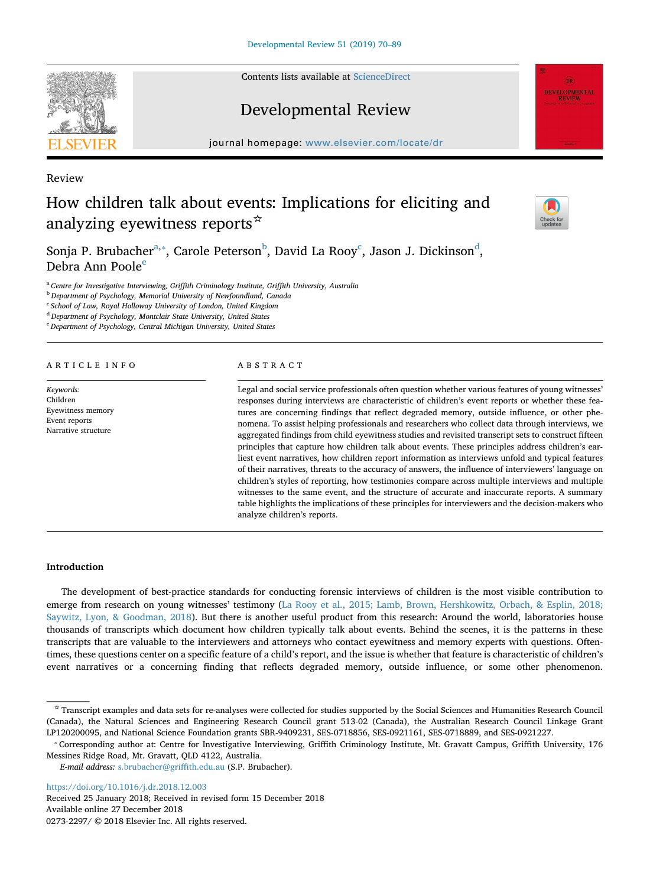Contents lists available at [ScienceDirect](http://www.sciencedirect.com/science/journal/02732297)

### Developmental Review

journal homepage: [www.elsevier.com/locate/dr](https://www.elsevier.com/locate/dr)

#### Review

## How children talk about events: Implications for eliciting and analyzing eyewitness reports☆

Sonja P. Bru[b](#page-1-2)a[c](#page-1-3)her $^{a,*}$  $^{a,*}$  $^{a,*}$ , Carole Peterson $^{\rm b}$ , Davi[d](#page-1-4) La Rooy $^{\rm c}$ , Jason J. Dickinson $^{\rm d}$ , D[e](#page-1-5)bra Ann Poole<sup>e</sup>

<span id="page-1-0"></span><sup>a</sup> *Centre for Investigative Interviewing, Griffith Criminology Institute, Griffith University, Australia*

<span id="page-1-2"></span><sup>b</sup> *Department of Psychology, Memorial University of Newfoundland, Canada*

<span id="page-1-3"></span><sup>c</sup> *School of Law, Royal Holloway University of London, United Kingdom*

<span id="page-1-4"></span><sup>d</sup> *Department of Psychology, Montclair State University, United States*

<span id="page-1-5"></span><sup>e</sup> *Department of Psychology, Central Michigan University, United States*

#### ARTICLE INFO

*Keywords:* Children Eyewitness memory Event reports Narrative structure

#### ABSTRACT

Legal and social service professionals often question whether various features of young witnesses' responses during interviews are characteristic of children's event reports or whether these features are concerning findings that reflect degraded memory, outside influence, or other phenomena. To assist helping professionals and researchers who collect data through interviews, we aggregated findings from child eyewitness studies and revisited transcript sets to construct fifteen principles that capture how children talk about events. These principles address children's earliest event narratives, how children report information as interviews unfold and typical features of their narratives, threats to the accuracy of answers, the influence of interviewers' language on children's styles of reporting, how testimonies compare across multiple interviews and multiple witnesses to the same event, and the structure of accurate and inaccurate reports. A summary table highlights the implications of these principles for interviewers and the decision-makers who analyze children's reports.

#### **Introduction**

The development of best-practice standards for conducting forensic interviews of children is the most visible contribution to emerge from research on young witnesses' testimony [\(La Rooy et al., 2015; Lamb, Brown, Hershkowitz, Orbach, & Esplin, 2018;](#page-18-0) [Saywitz, Lyon, & Goodman, 2018](#page-18-0)). But there is another useful product from this research: Around the world, laboratories house thousands of transcripts which document how children typically talk about events. Behind the scenes, it is the patterns in these transcripts that are valuable to the interviewers and attorneys who contact eyewitness and memory experts with questions. Oftentimes, these questions center on a specific feature of a child's report, and the issue is whether that feature is characteristic of children's event narratives or a concerning finding that reflects degraded memory, outside influence, or some other phenomenon.

<https://doi.org/10.1016/j.dr.2018.12.003>

Received 25 January 2018; Received in revised form 15 December 2018 Available online 27 December 2018 0273-2297/ © 2018 Elsevier Inc. All rights reserved.







<sup>☆</sup> Transcript examples and data sets for re-analyses were collected for studies supported by the Social Sciences and Humanities Research Council (Canada), the Natural Sciences and Engineering Research Council grant 513-02 (Canada), the Australian Research Council Linkage Grant LP120200095, and National Science Foundation grants SBR-9409231, SES-0718856, SES-0921161, SES-0718889, and SES-0921227.

<span id="page-1-1"></span><sup>⁎</sup> Corresponding author at: Centre for Investigative Interviewing, Griffith Criminology Institute, Mt. Gravatt Campus, Griffith University, 176 Messines Ridge Road, Mt. Gravatt, QLD 4122, Australia.

*E-mail address:* [s.brubacher@griffith.edu.au](mailto:s.brubacher@griffith.edu.au) (S.P. Brubacher).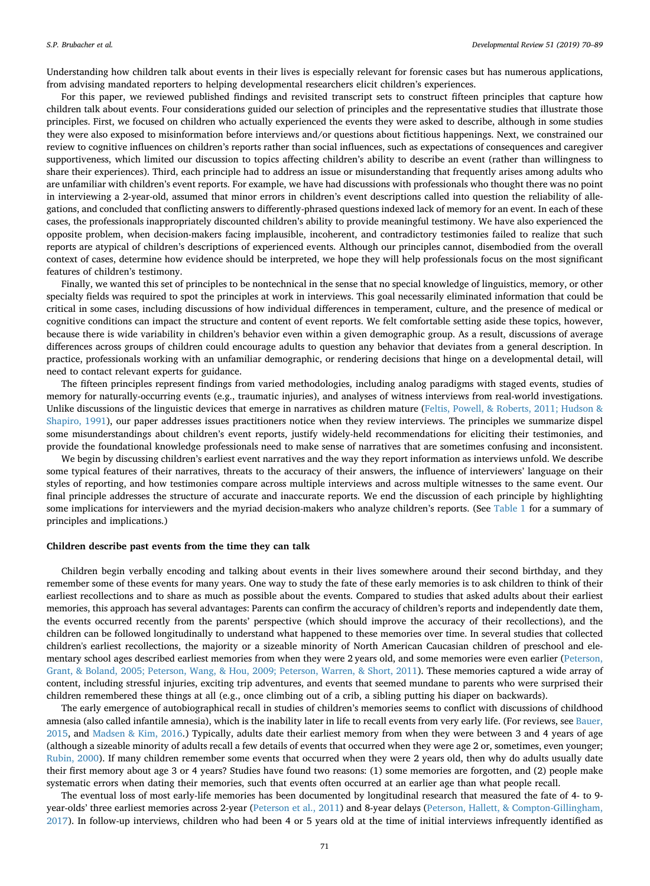Understanding how children talk about events in their lives is especially relevant for forensic cases but has numerous applications, from advising mandated reporters to helping developmental researchers elicit children's experiences.

For this paper, we reviewed published findings and revisited transcript sets to construct fifteen principles that capture how children talk about events. Four considerations guided our selection of principles and the representative studies that illustrate those principles. First, we focused on children who actually experienced the events they were asked to describe, although in some studies they were also exposed to misinformation before interviews and/or questions about fictitious happenings. Next, we constrained our review to cognitive influences on children's reports rather than social influences, such as expectations of consequences and caregiver supportiveness, which limited our discussion to topics affecting children's ability to describe an event (rather than willingness to share their experiences). Third, each principle had to address an issue or misunderstanding that frequently arises among adults who are unfamiliar with children's event reports. For example, we have had discussions with professionals who thought there was no point in interviewing a 2-year-old, assumed that minor errors in children's event descriptions called into question the reliability of allegations, and concluded that conflicting answers to differently-phrased questions indexed lack of memory for an event. In each of these cases, the professionals inappropriately discounted children's ability to provide meaningful testimony. We have also experienced the opposite problem, when decision-makers facing implausible, incoherent, and contradictory testimonies failed to realize that such reports are atypical of children's descriptions of experienced events. Although our principles cannot, disembodied from the overall context of cases, determine how evidence should be interpreted, we hope they will help professionals focus on the most significant features of children's testimony.

Finally, we wanted this set of principles to be nontechnical in the sense that no special knowledge of linguistics, memory, or other specialty fields was required to spot the principles at work in interviews. This goal necessarily eliminated information that could be critical in some cases, including discussions of how individual differences in temperament, culture, and the presence of medical or cognitive conditions can impact the structure and content of event reports. We felt comfortable setting aside these topics, however, because there is wide variability in children's behavior even within a given demographic group. As a result, discussions of average differences across groups of children could encourage adults to question any behavior that deviates from a general description. In practice, professionals working with an unfamiliar demographic, or rendering decisions that hinge on a developmental detail, will need to contact relevant experts for guidance.

The fifteen principles represent findings from varied methodologies, including analog paradigms with staged events, studies of memory for naturally-occurring events (e.g., traumatic injuries), and analyses of witness interviews from real-world investigations. Unlike discussions of the linguistic devices that emerge in narratives as children mature ([Feltis, Powell, & Roberts, 2011; Hudson &](#page-17-0) [Shapiro, 1991](#page-17-0)), our paper addresses issues practitioners notice when they review interviews. The principles we summarize dispel some misunderstandings about children's event reports, justify widely-held recommendations for eliciting their testimonies, and provide the foundational knowledge professionals need to make sense of narratives that are sometimes confusing and inconsistent.

We begin by discussing children's earliest event narratives and the way they report information as interviews unfold. We describe some typical features of their narratives, threats to the accuracy of their answers, the influence of interviewers' language on their styles of reporting, and how testimonies compare across multiple interviews and across multiple witnesses to the same event. Our final principle addresses the structure of accurate and inaccurate reports. We end the discussion of each principle by highlighting some implications for interviewers and the myriad decision-makers who analyze children's reports. (See [Table 1](#page-3-0) for a summary of principles and implications.)

#### **Children describe past events from the time they can talk**

Children begin verbally encoding and talking about events in their lives somewhere around their second birthday, and they remember some of these events for many years. One way to study the fate of these early memories is to ask children to think of their earliest recollections and to share as much as possible about the events. Compared to studies that asked adults about their earliest memories, this approach has several advantages: Parents can confirm the accuracy of children's reports and independently date them, the events occurred recently from the parents' perspective (which should improve the accuracy of their recollections), and the children can be followed longitudinally to understand what happened to these memories over time. In several studies that collected children's earliest recollections, the majority or a sizeable minority of North American Caucasian children of preschool and elementary school ages described earliest memories from when they were 2 years old, and some memories were even earlier ([Peterson,](#page-18-1) [Grant, & Boland, 2005; Peterson, Wang, & Hou, 2009; Peterson, Warren, & Short, 2011\)](#page-18-1). These memories captured a wide array of content, including stressful injuries, exciting trip adventures, and events that seemed mundane to parents who were surprised their children remembered these things at all (e.g., once climbing out of a crib, a sibling putting his diaper on backwards).

The early emergence of autobiographical recall in studies of children's memories seems to conflict with discussions of childhood amnesia (also called infantile amnesia), which is the inability later in life to recall events from very early life. (For reviews, see [Bauer,](#page-16-0) [2015,](#page-16-0) and [Madsen & Kim, 2016.](#page-18-2)) Typically, adults date their earliest memory from when they were between 3 and 4 years of age (although a sizeable minority of adults recall a few details of events that occurred when they were age 2 or, sometimes, even younger; [Rubin, 2000\)](#page-19-0). If many children remember some events that occurred when they were 2 years old, then why do adults usually date their first memory about age 3 or 4 years? Studies have found two reasons: (1) some memories are forgotten, and (2) people make systematic errors when dating their memories, such that events often occurred at an earlier age than what people recall.

The eventual loss of most early-life memories has been documented by longitudinal research that measured the fate of 4- to 9 year-olds' three earliest memories across 2-year [\(Peterson et al., 2011\)](#page-19-1) and 8-year delays ([Peterson, Hallett, & Compton-Gillingham,](#page-18-3) [2017\)](#page-18-3). In follow-up interviews, children who had been 4 or 5 years old at the time of initial interviews infrequently identified as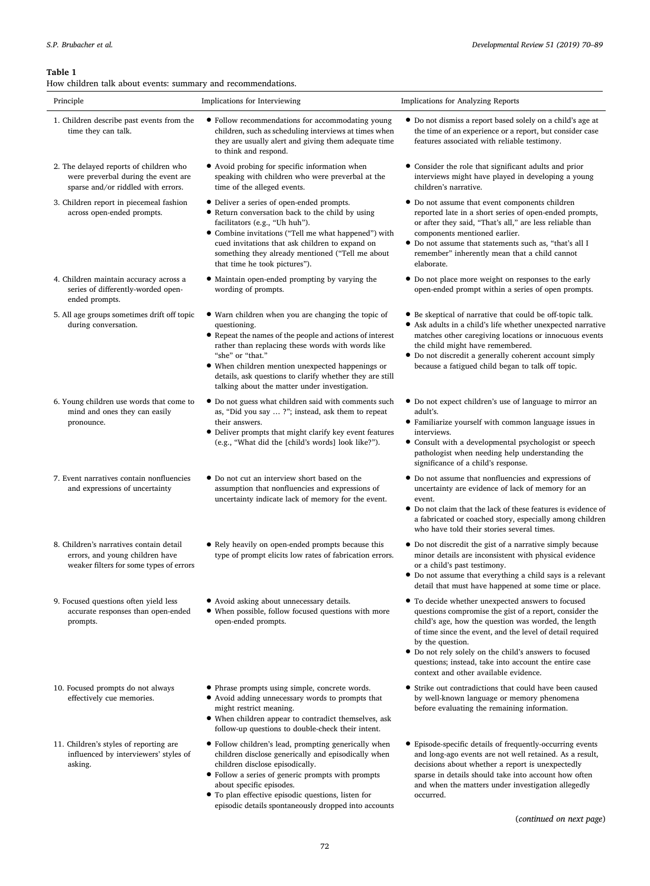# <span id="page-3-0"></span>**Table 1**

| How children talk about events: summary and recommendations. |  |  |
|--------------------------------------------------------------|--|--|
|--------------------------------------------------------------|--|--|

| Principle                                                                                                             | Implications for Interviewing                                                                                                                                                                                                                                                                                                                                            | Implications for Analyzing Reports                                                                                                                                                                                                                                                                                                                                                                                |
|-----------------------------------------------------------------------------------------------------------------------|--------------------------------------------------------------------------------------------------------------------------------------------------------------------------------------------------------------------------------------------------------------------------------------------------------------------------------------------------------------------------|-------------------------------------------------------------------------------------------------------------------------------------------------------------------------------------------------------------------------------------------------------------------------------------------------------------------------------------------------------------------------------------------------------------------|
| 1. Children describe past events from the<br>time they can talk.                                                      | • Follow recommendations for accommodating young<br>children, such as scheduling interviews at times when<br>they are usually alert and giving them adequate time<br>to think and respond.                                                                                                                                                                               | • Do not dismiss a report based solely on a child's age at<br>the time of an experience or a report, but consider case<br>features associated with reliable testimony.                                                                                                                                                                                                                                            |
| 2. The delayed reports of children who<br>were preverbal during the event are<br>sparse and/or riddled with errors.   | • Avoid probing for specific information when<br>speaking with children who were preverbal at the<br>time of the alleged events.                                                                                                                                                                                                                                         | • Consider the role that significant adults and prior<br>interviews might have played in developing a young<br>children's narrative.                                                                                                                                                                                                                                                                              |
| 3. Children report in piecemeal fashion<br>across open-ended prompts.                                                 | • Deliver a series of open-ended prompts.<br>• Return conversation back to the child by using<br>facilitators (e.g., "Uh huh").<br>• Combine invitations ("Tell me what happened") with<br>cued invitations that ask children to expand on<br>something they already mentioned ("Tell me about<br>that time he took pictures").                                          | • Do not assume that event components children<br>reported late in a short series of open-ended prompts,<br>or after they said, "That's all," are less reliable than<br>components mentioned earlier.<br>• Do not assume that statements such as, "that's all I<br>remember" inherently mean that a child cannot<br>elaborate.                                                                                    |
| 4. Children maintain accuracy across a<br>series of differently-worded open-<br>ended prompts.                        | • Maintain open-ended prompting by varying the<br>wording of prompts.                                                                                                                                                                                                                                                                                                    | • Do not place more weight on responses to the early<br>open-ended prompt within a series of open prompts.                                                                                                                                                                                                                                                                                                        |
| 5. All age groups sometimes drift off topic<br>during conversation.                                                   | • Warn children when you are changing the topic of<br>questioning.<br>• Repeat the names of the people and actions of interest<br>rather than replacing these words with words like<br>"she" or "that."<br>• When children mention unexpected happenings or<br>details, ask questions to clarify whether they are still<br>talking about the matter under investigation. | • Be skeptical of narrative that could be off-topic talk.<br>• Ask adults in a child's life whether unexpected narrative<br>matches other caregiving locations or innocuous events<br>the child might have remembered.<br>• Do not discredit a generally coherent account simply<br>because a fatigued child began to talk off topic.                                                                             |
| 6. Young children use words that come to<br>mind and ones they can easily<br>pronounce.                               | • Do not guess what children said with comments such<br>as, "Did you say ?"; instead, ask them to repeat<br>their answers.<br>• Deliver prompts that might clarify key event features<br>(e.g., "What did the [child's words] look like?").                                                                                                                              | • Do not expect children's use of language to mirror an<br>adult's.<br>• Familiarize yourself with common language issues in<br>interviews.<br>• Consult with a developmental psychologist or speech<br>pathologist when needing help understanding the<br>significance of a child's response.                                                                                                                    |
| 7. Event narratives contain nonfluencies<br>and expressions of uncertainty                                            | • Do not cut an interview short based on the<br>assumption that nonfluencies and expressions of<br>uncertainty indicate lack of memory for the event.                                                                                                                                                                                                                    | • Do not assume that nonfluencies and expressions of<br>uncertainty are evidence of lack of memory for an<br>event.<br>• Do not claim that the lack of these features is evidence of<br>a fabricated or coached story, especially among children<br>who have told their stories several times.                                                                                                                    |
| 8. Children's narratives contain detail<br>errors, and young children have<br>weaker filters for some types of errors | • Rely heavily on open-ended prompts because this<br>type of prompt elicits low rates of fabrication errors.                                                                                                                                                                                                                                                             | • Do not discredit the gist of a narrative simply because<br>minor details are inconsistent with physical evidence<br>or a child's past testimony.<br>• Do not assume that everything a child says is a relevant<br>detail that must have happened at some time or place.                                                                                                                                         |
| 9. Focused questions often yield less<br>accurate responses than open-ended<br>prompts.                               | • Avoid asking about unnecessary details.<br>• When possible, follow focused questions with more<br>open-ended prompts.                                                                                                                                                                                                                                                  | • To decide whether unexpected answers to focused<br>questions compromise the gist of a report, consider the<br>child's age, how the question was worded, the length<br>of time since the event, and the level of detail required<br>by the question.<br>• Do not rely solely on the child's answers to focused<br>questions; instead, take into account the entire case<br>context and other available evidence. |
| 10. Focused prompts do not always<br>effectively cue memories.                                                        | • Phrase prompts using simple, concrete words.<br>• Avoid adding unnecessary words to prompts that<br>might restrict meaning.<br>• When children appear to contradict themselves, ask<br>follow-up questions to double-check their intent.                                                                                                                               | • Strike out contradictions that could have been caused<br>by well-known language or memory phenomena<br>before evaluating the remaining information.                                                                                                                                                                                                                                                             |
| 11. Children's styles of reporting are<br>influenced by interviewers' styles of<br>asking.                            | • Follow children's lead, prompting generically when<br>children disclose generically and episodically when<br>children disclose episodically.<br>• Follow a series of generic prompts with prompts<br>about specific episodes.<br>• To plan effective episodic questions, listen for<br>episodic details spontaneously dropped into accounts                            | • Episode-specific details of frequently-occurring events<br>and long-ago events are not well retained. As a result,<br>decisions about whether a report is unexpectedly<br>sparse in details should take into account how often<br>and when the matters under investigation allegedly<br>occurred.                                                                                                               |

(*continued on next page*)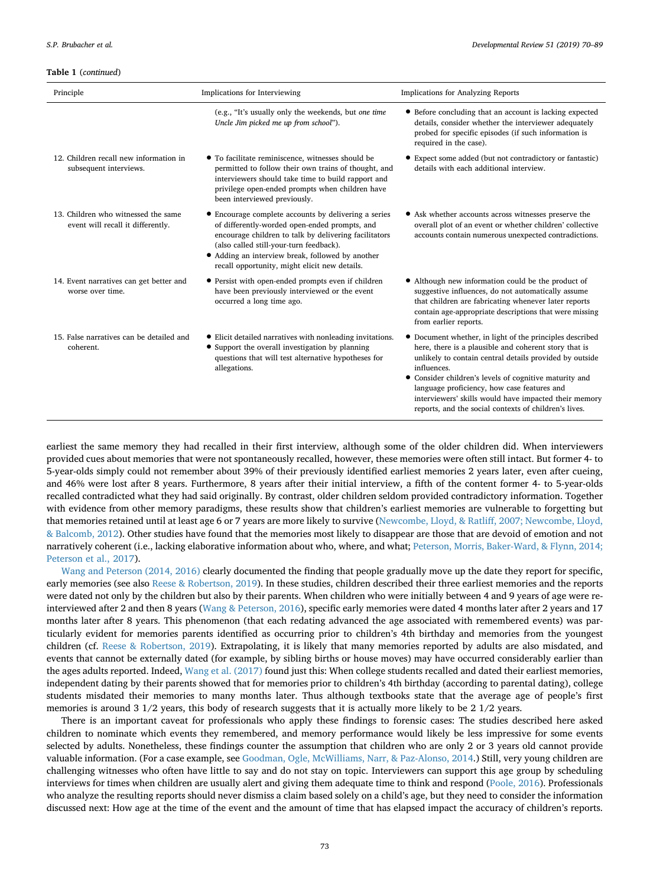**Table 1** (*continued*)

| Principle                                                                | Implications for Interviewing                                                                                                                                                                                                                                                                                  | Implications for Analyzing Reports                                                                                                                                                                                                                                                                                                                                                                                     |
|--------------------------------------------------------------------------|----------------------------------------------------------------------------------------------------------------------------------------------------------------------------------------------------------------------------------------------------------------------------------------------------------------|------------------------------------------------------------------------------------------------------------------------------------------------------------------------------------------------------------------------------------------------------------------------------------------------------------------------------------------------------------------------------------------------------------------------|
|                                                                          | (e.g., "It's usually only the weekends, but one time<br>Uncle Jim picked me up from school").                                                                                                                                                                                                                  | • Before concluding that an account is lacking expected<br>details, consider whether the interviewer adequately<br>probed for specific episodes (if such information is<br>required in the case).                                                                                                                                                                                                                      |
| 12. Children recall new information in<br>subsequent interviews.         | • To facilitate reminiscence, witnesses should be<br>permitted to follow their own trains of thought, and<br>interviewers should take time to build rapport and<br>privilege open-ended prompts when children have<br>been interviewed previously.                                                             | • Expect some added (but not contradictory or fantastic)<br>details with each additional interview.                                                                                                                                                                                                                                                                                                                    |
| 13. Children who witnessed the same<br>event will recall it differently. | • Encourage complete accounts by delivering a series<br>of differently-worded open-ended prompts, and<br>encourage children to talk by delivering facilitators<br>(also called still-your-turn feedback).<br>• Adding an interview break, followed by another<br>recall opportunity, might elicit new details. | • Ask whether accounts across witnesses preserve the<br>overall plot of an event or whether children' collective<br>accounts contain numerous unexpected contradictions.                                                                                                                                                                                                                                               |
| 14. Event narratives can get better and<br>worse over time.              | • Persist with open-ended prompts even if children<br>have been previously interviewed or the event<br>occurred a long time ago.                                                                                                                                                                               | • Although new information could be the product of<br>suggestive influences, do not automatically assume<br>that children are fabricating whenever later reports<br>contain age-appropriate descriptions that were missing<br>from earlier reports.                                                                                                                                                                    |
| 15. False narratives can be detailed and<br>coherent.                    | • Elicit detailed narratives with nonleading invitations.<br>• Support the overall investigation by planning<br>questions that will test alternative hypotheses for<br>allegations.                                                                                                                            | • Document whether, in light of the principles described<br>here, there is a plausible and coherent story that is<br>unlikely to contain central details provided by outside<br>influences.<br>• Consider children's levels of cognitive maturity and<br>language proficiency, how case features and<br>interviewers' skills would have impacted their memory<br>reports, and the social contexts of children's lives. |

earliest the same memory they had recalled in their first interview, although some of the older children did. When interviewers provided cues about memories that were not spontaneously recalled, however, these memories were often still intact. But former 4- to 5-year-olds simply could not remember about 39% of their previously identified earliest memories 2 years later, even after cueing, and 46% were lost after 8 years. Furthermore, 8 years after their initial interview, a fifth of the content former 4- to 5-year-olds recalled contradicted what they had said originally. By contrast, older children seldom provided contradictory information. Together with evidence from other memory paradigms, these results show that children's earliest memories are vulnerable to forgetting but that memories retained until at least age 6 or 7 years are more likely to survive ([Newcombe, Lloyd, & Ratliff, 2007; Newcombe, Lloyd,](#page-18-4) [& Balcomb, 2012](#page-18-4)). Other studies have found that the memories most likely to disappear are those that are devoid of emotion and not narratively coherent (i.e., lacking elaborative information about who, where, and what; [Peterson, Morris, Baker-Ward, & Flynn, 2014;](#page-18-5) [Peterson et al., 2017\)](#page-18-5).

[Wang and Peterson \(2014, 2016\)](#page-19-2) clearly documented the finding that people gradually move up the date they report for specific, early memories (see also [Reese & Robertson, 2019](#page-19-3)). In these studies, children described their three earliest memories and the reports were dated not only by the children but also by their parents. When children who were initially between 4 and 9 years of age were reinterviewed after 2 and then 8 years ([Wang & Peterson, 2016\)](#page-19-4), specific early memories were dated 4 months later after 2 years and 17 months later after 8 years. This phenomenon (that each redating advanced the age associated with remembered events) was particularly evident for memories parents identified as occurring prior to children's 4th birthday and memories from the youngest children (cf. [Reese & Robertson, 2019](#page-19-3)). Extrapolating, it is likely that many memories reported by adults are also misdated, and events that cannot be externally dated (for example, by sibling births or house moves) may have occurred considerably earlier than the ages adults reported. Indeed, [Wang et al. \(2017\)](#page-19-5) found just this: When college students recalled and dated their earliest memories, independent dating by their parents showed that for memories prior to children's 4th birthday (according to parental dating), college students misdated their memories to many months later. Thus although textbooks state that the average age of people's first memories is around 3 1/2 years, this body of research suggests that it is actually more likely to be 2 1/2 years.

There is an important caveat for professionals who apply these findings to forensic cases: The studies described here asked children to nominate which events they remembered, and memory performance would likely be less impressive for some events selected by adults. Nonetheless, these findings counter the assumption that children who are only 2 or 3 years old cannot provide valuable information. (For a case example, see [Goodman, Ogle, McWilliams, Narr, & Paz-Alonso, 2014.](#page-17-1)) Still, very young children are challenging witnesses who often have little to say and do not stay on topic. Interviewers can support this age group by scheduling interviews for times when children are usually alert and giving them adequate time to think and respond [\(Poole, 2016](#page-19-6)). Professionals who analyze the resulting reports should never dismiss a claim based solely on a child's age, but they need to consider the information discussed next: How age at the time of the event and the amount of time that has elapsed impact the accuracy of children's reports.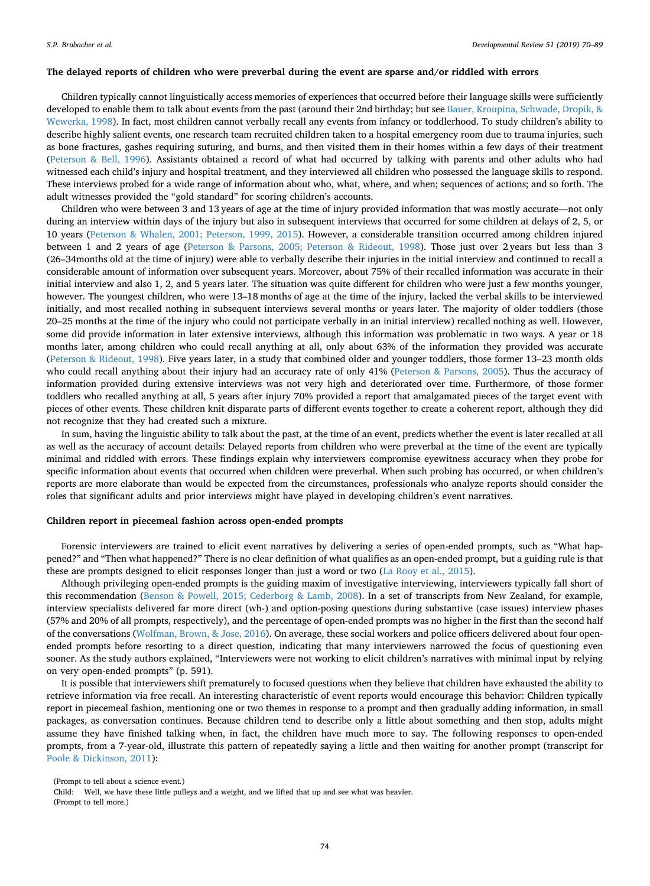#### **The delayed reports of children who were preverbal during the event are sparse and/or riddled with errors**

Children typically cannot linguistically access memories of experiences that occurred before their language skills were sufficiently developed to enable them to talk about events from the past (around their 2nd birthday; but see [Bauer, Kroupina, Schwade, Dropik, &](#page-16-1) [Wewerka, 1998](#page-16-1)). In fact, most children cannot verbally recall any events from infancy or toddlerhood. To study children's ability to describe highly salient events, one research team recruited children taken to a hospital emergency room due to trauma injuries, such as bone fractures, gashes requiring suturing, and burns, and then visited them in their homes within a few days of their treatment [\(Peterson & Bell, 1996](#page-18-6)). Assistants obtained a record of what had occurred by talking with parents and other adults who had witnessed each child's injury and hospital treatment, and they interviewed all children who possessed the language skills to respond. These interviews probed for a wide range of information about who, what, where, and when; sequences of actions; and so forth. The adult witnesses provided the "gold standard" for scoring children's accounts.

Children who were between 3 and 13 years of age at the time of injury provided information that was mostly accurate—not only during an interview within days of the injury but also in subsequent interviews that occurred for some children at delays of 2, 5, or 10 years ([Peterson & Whalen, 2001; Peterson, 1999, 2015\)](#page-19-7). However, a considerable transition occurred among children injured between 1 and 2 years of age [\(Peterson & Parsons, 2005; Peterson & Rideout, 1998](#page-19-8)). Those just over 2 years but less than 3 (26–34months old at the time of injury) were able to verbally describe their injuries in the initial interview and continued to recall a considerable amount of information over subsequent years. Moreover, about 75% of their recalled information was accurate in their initial interview and also 1, 2, and 5 years later. The situation was quite different for children who were just a few months younger, however. The youngest children, who were 13–18 months of age at the time of the injury, lacked the verbal skills to be interviewed initially, and most recalled nothing in subsequent interviews several months or years later. The majority of older toddlers (those 20–25 months at the time of the injury who could not participate verbally in an initial interview) recalled nothing as well. However, some did provide information in later extensive interviews, although this information was problematic in two ways. A year or 18 months later, among children who could recall anything at all, only about 63% of the information they provided was accurate [\(Peterson & Rideout, 1998](#page-19-9)). Five years later, in a study that combined older and younger toddlers, those former 13–23 month olds who could recall anything about their injury had an accuracy rate of only 41% [\(Peterson & Parsons, 2005](#page-19-8)). Thus the accuracy of information provided during extensive interviews was not very high and deteriorated over time. Furthermore, of those former toddlers who recalled anything at all, 5 years after injury 70% provided a report that amalgamated pieces of the target event with pieces of other events. These children knit disparate parts of different events together to create a coherent report, although they did not recognize that they had created such a mixture.

In sum, having the linguistic ability to talk about the past, at the time of an event, predicts whether the event is later recalled at all as well as the accuracy of account details: Delayed reports from children who were preverbal at the time of the event are typically minimal and riddled with errors. These findings explain why interviewers compromise eyewitness accuracy when they probe for specific information about events that occurred when children were preverbal. When such probing has occurred, or when children's reports are more elaborate than would be expected from the circumstances, professionals who analyze reports should consider the roles that significant adults and prior interviews might have played in developing children's event narratives.

#### **Children report in piecemeal fashion across open-ended prompts**

Forensic interviewers are trained to elicit event narratives by delivering a series of open-ended prompts, such as "What happened?" and "Then what happened?" There is no clear definition of what qualifies as an open-ended prompt, but a guiding rule is that these are prompts designed to elicit responses longer than just a word or two ([La Rooy et al., 2015](#page-18-0)).

Although privileging open-ended prompts is the guiding maxim of investigative interviewing, interviewers typically fall short of this recommendation [\(Benson & Powell, 2015; Cederborg & Lamb, 2008](#page-16-2)). In a set of transcripts from New Zealand, for example, interview specialists delivered far more direct (wh-) and option-posing questions during substantive (case issues) interview phases (57% and 20% of all prompts, respectively), and the percentage of open-ended prompts was no higher in the first than the second half of the conversations [\(Wolfman, Brown, & Jose, 2016\)](#page-20-0). On average, these social workers and police officers delivered about four openended prompts before resorting to a direct question, indicating that many interviewers narrowed the focus of questioning even sooner. As the study authors explained, "Interviewers were not working to elicit children's narratives with minimal input by relying on very open-ended prompts" (p. 591).

It is possible that interviewers shift prematurely to focused questions when they believe that children have exhausted the ability to retrieve information via free recall. An interesting characteristic of event reports would encourage this behavior: Children typically report in piecemeal fashion, mentioning one or two themes in response to a prompt and then gradually adding information, in small packages, as conversation continues. Because children tend to describe only a little about something and then stop, adults might assume they have finished talking when, in fact, the children have much more to say. The following responses to open-ended prompts, from a 7-year-old, illustrate this pattern of repeatedly saying a little and then waiting for another prompt (transcript for [Poole & Dickinson, 2011](#page-19-10)):

(Prompt to tell about a science event.)

(Prompt to tell more.)

Child: Well, we have these little pulleys and a weight, and we lifted that up and see what was heavier.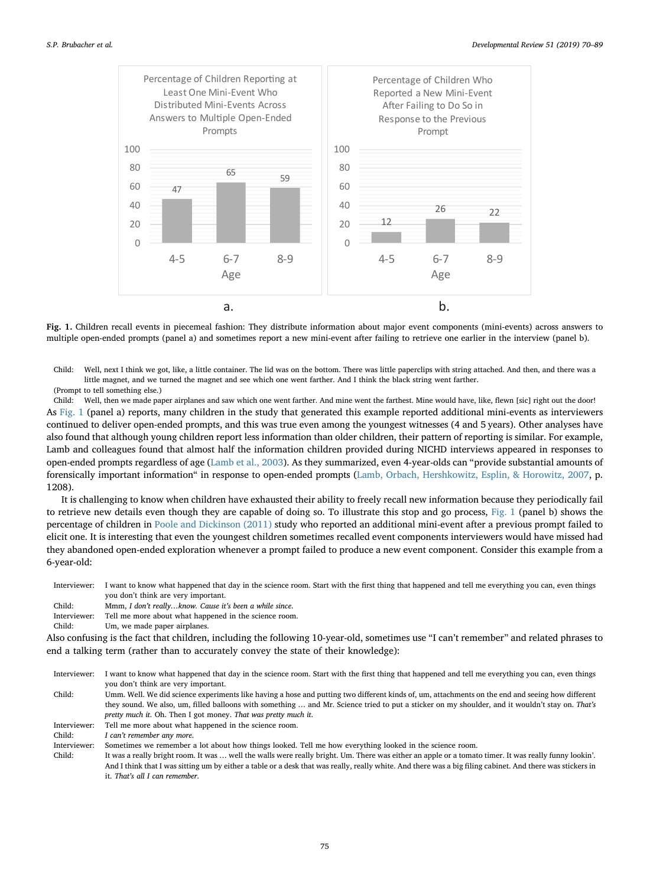<span id="page-6-0"></span>

**Fig. 1.** Children recall events in piecemeal fashion: They distribute information about major event components (mini-events) across answers to multiple open-ended prompts (panel a) and sometimes report a new mini-event after failing to retrieve one earlier in the interview (panel b).

Child: Well, next I think we got, like, a little container. The lid was on the bottom. There was little paperclips with string attached. And then, and there was a little magnet, and we turned the magnet and see which one went farther. And I think the black string went farther. (Prompt to tell something else.)

Child: Well, then we made paper airplanes and saw which one went farther. And mine went the farthest. Mine would have, like, flewn [sic] right out the door! As [Fig. 1](#page-6-0) (panel a) reports, many children in the study that generated this example reported additional mini-events as interviewers continued to deliver open-ended prompts, and this was true even among the youngest witnesses (4 and 5 years). Other analyses have also found that although young children report less information than older children, their pattern of reporting is similar. For example, Lamb and colleagues found that almost half the information children provided during NICHD interviews appeared in responses to open-ended prompts regardless of age ([Lamb et al., 2003](#page-18-7)). As they summarized, even 4-year-olds can "provide substantial amounts of forensically important information" in response to open-ended prompts [\(Lamb, Orbach, Hershkowitz, Esplin, & Horowitz, 2007,](#page-18-8) p. 1208).

It is challenging to know when children have exhausted their ability to freely recall new information because they periodically fail to retrieve new details even though they are capable of doing so. To illustrate this stop and go process, [Fig. 1](#page-6-0) (panel b) shows the percentage of children in [Poole and Dickinson \(2011\)](#page-19-10) study who reported an additional mini-event after a previous prompt failed to elicit one. It is interesting that even the youngest children sometimes recalled event components interviewers would have missed had they abandoned open-ended exploration whenever a prompt failed to produce a new event component. Consider this example from a 6-year-old:

Interviewer: I want to know what happened that day in the science room. Start with the first thing that happened and tell me everything you can, even things you don't think are very important.

Child: Mmm, *I don't really…know. Cause it's been a while since*.

Interviewer: Tell me more about what happened in the science room.

Child: Um, we made paper airplanes.

Also confusing is the fact that children, including the following 10-year-old, sometimes use "I can't remember" and related phrases to end a talking term (rather than to accurately convey the state of their knowledge):

Interviewer: I want to know what happened that day in the science room. Start with the first thing that happened and tell me everything you can, even things you don't think are very important. Child: Umm. Well. We did science experiments like having a hose and putting two different kinds of, um, attachments on the end and seeing how different they sound. We also, um, filled balloons with something … and Mr. Science tried to put a sticker on my shoulder, and it wouldn't stay on. *That's pretty much it*. Oh. Then I got money. *That was pretty much it*. Interviewer: Tell me more about what happened in the science room.<br>
Child: I can't remember any more.

I can't remember any more.

Interviewer: Sometimes we remember a lot about how things looked. Tell me how everything looked in the science room.<br>Child: It was a really bright room. It was ... well the walls were really bright. Um. There was either an

It was a really bright room. It was ... well the walls were really bright. Um. There was either an apple or a tomato timer. It was really funny lookin'. And I think that I was sitting um by either a table or a desk that was really, really white. And there was a big filing cabinet. And there was stickers in it. *That's all I can remember*.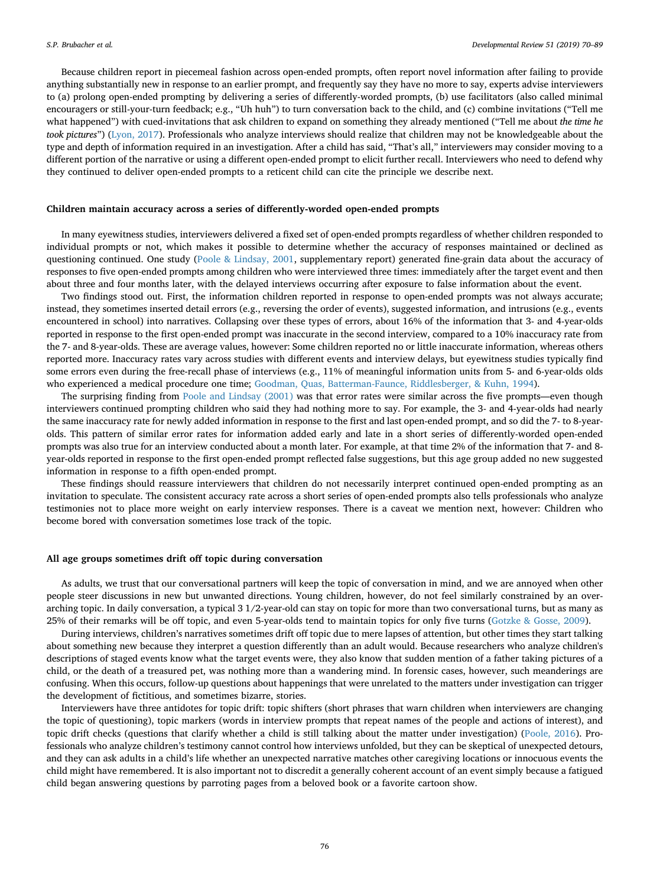Because children report in piecemeal fashion across open-ended prompts, often report novel information after failing to provide anything substantially new in response to an earlier prompt, and frequently say they have no more to say, experts advise interviewers to (a) prolong open-ended prompting by delivering a series of differently-worded prompts, (b) use facilitators (also called minimal encouragers or still-your-turn feedback; e.g., "Uh huh") to turn conversation back to the child, and (c) combine invitations ("Tell me what happened") with cued-invitations that ask children to expand on something they already mentioned ("Tell me about *the time he took pictures*") [\(Lyon, 2017](#page-18-9)). Professionals who analyze interviews should realize that children may not be knowledgeable about the type and depth of information required in an investigation. After a child has said, "That's all," interviewers may consider moving to a different portion of the narrative or using a different open-ended prompt to elicit further recall. Interviewers who need to defend why they continued to deliver open-ended prompts to a reticent child can cite the principle we describe next.

#### **Children maintain accuracy across a series of differently-worded open-ended prompts**

In many eyewitness studies, interviewers delivered a fixed set of open-ended prompts regardless of whether children responded to individual prompts or not, which makes it possible to determine whether the accuracy of responses maintained or declined as questioning continued. One study [\(Poole & Lindsay, 2001](#page-19-11), supplementary report) generated fine-grain data about the accuracy of responses to five open-ended prompts among children who were interviewed three times: immediately after the target event and then about three and four months later, with the delayed interviews occurring after exposure to false information about the event.

Two findings stood out. First, the information children reported in response to open-ended prompts was not always accurate; instead, they sometimes inserted detail errors (e.g., reversing the order of events), suggested information, and intrusions (e.g., events encountered in school) into narratives. Collapsing over these types of errors, about 16% of the information that 3- and 4-year-olds reported in response to the first open-ended prompt was inaccurate in the second interview, compared to a 10% inaccuracy rate from the 7- and 8-year-olds. These are average values, however: Some children reported no or little inaccurate information, whereas others reported more. Inaccuracy rates vary across studies with different events and interview delays, but eyewitness studies typically find some errors even during the free-recall phase of interviews (e.g., 11% of meaningful information units from 5- and 6-year-olds olds who experienced a medical procedure one time; [Goodman, Quas, Batterman-Faunce, Riddlesberger, & Kuhn, 1994](#page-17-2)).

The surprising finding from [Poole and Lindsay \(2001\)](#page-19-11) was that error rates were similar across the five prompts—even though interviewers continued prompting children who said they had nothing more to say. For example, the 3- and 4-year-olds had nearly the same inaccuracy rate for newly added information in response to the first and last open-ended prompt, and so did the 7- to 8-yearolds. This pattern of similar error rates for information added early and late in a short series of differently-worded open-ended prompts was also true for an interview conducted about a month later. For example, at that time 2% of the information that 7- and 8 year-olds reported in response to the first open-ended prompt reflected false suggestions, but this age group added no new suggested information in response to a fifth open-ended prompt.

These findings should reassure interviewers that children do not necessarily interpret continued open-ended prompting as an invitation to speculate. The consistent accuracy rate across a short series of open-ended prompts also tells professionals who analyze testimonies not to place more weight on early interview responses. There is a caveat we mention next, however: Children who become bored with conversation sometimes lose track of the topic.

#### **All age groups sometimes drift off topic during conversation**

As adults, we trust that our conversational partners will keep the topic of conversation in mind, and we are annoyed when other people steer discussions in new but unwanted directions. Young children, however, do not feel similarly constrained by an overarching topic. In daily conversation, a typical 3 1/2-year-old can stay on topic for more than two conversational turns, but as many as 25% of their remarks will be off topic, and even 5-year-olds tend to maintain topics for only five turns ([Gotzke & Gosse, 2009](#page-17-3)).

During interviews, children's narratives sometimes drift off topic due to mere lapses of attention, but other times they start talking about something new because they interpret a question differently than an adult would. Because researchers who analyze children's descriptions of staged events know what the target events were, they also know that sudden mention of a father taking pictures of a child, or the death of a treasured pet, was nothing more than a wandering mind. In forensic cases, however, such meanderings are confusing. When this occurs, follow-up questions about happenings that were unrelated to the matters under investigation can trigger the development of fictitious, and sometimes bizarre, stories.

Interviewers have three antidotes for topic drift: topic shifters (short phrases that warn children when interviewers are changing the topic of questioning), topic markers (words in interview prompts that repeat names of the people and actions of interest), and topic drift checks (questions that clarify whether a child is still talking about the matter under investigation) ([Poole, 2016](#page-19-6)). Professionals who analyze children's testimony cannot control how interviews unfolded, but they can be skeptical of unexpected detours, and they can ask adults in a child's life whether an unexpected narrative matches other caregiving locations or innocuous events the child might have remembered. It is also important not to discredit a generally coherent account of an event simply because a fatigued child began answering questions by parroting pages from a beloved book or a favorite cartoon show.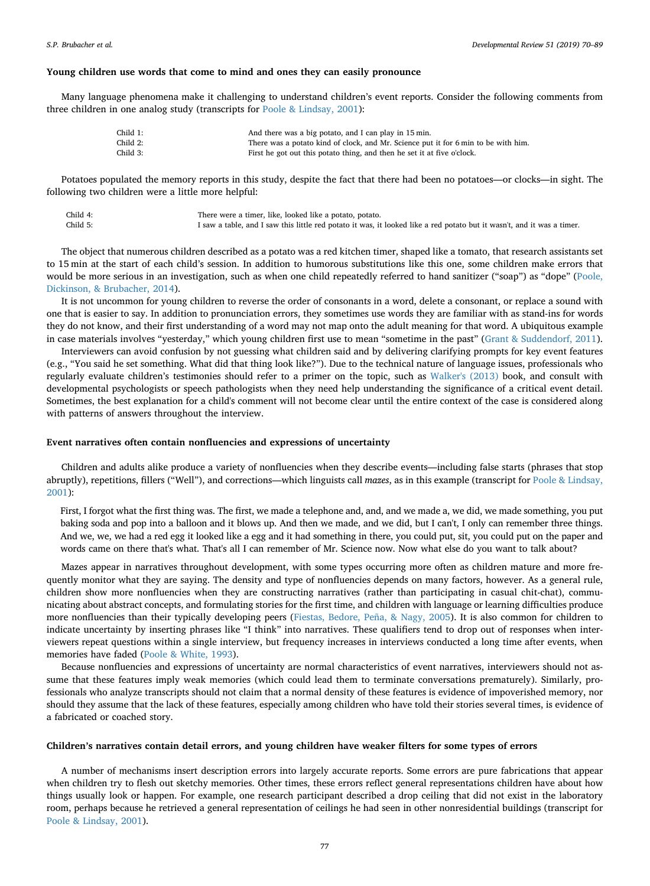#### **Young children use words that come to mind and ones they can easily pronounce**

Many language phenomena make it challenging to understand children's event reports. Consider the following comments from three children in one analog study (transcripts for [Poole & Lindsay, 2001](#page-19-11)):

| Child 1: | And there was a big potato, and I can play in 15 min.                              |
|----------|------------------------------------------------------------------------------------|
| Child 2: | There was a potato kind of clock, and Mr. Science put it for 6 min to be with him. |
| Child:   | First he got out this potato thing, and then he set it at five o'clock.            |

Potatoes populated the memory reports in this study, despite the fact that there had been no potatoes—or clocks—in sight. The following two children were a little more helpful:

| Child 4: | There were a timer, like, looked like a potato, potato.                                                                |
|----------|------------------------------------------------------------------------------------------------------------------------|
| Child 5: | I saw a table, and I saw this little red potato it was, it looked like a red potato but it wasn't, and it was a timer. |

The object that numerous children described as a potato was a red kitchen timer, shaped like a tomato, that research assistants set to 15 min at the start of each child's session. In addition to humorous substitutions like this one, some children make errors that would be more serious in an investigation, such as when one child repeatedly referred to hand sanitizer ("soap") as "dope" [\(Poole,](#page-19-12) [Dickinson, & Brubacher, 2014](#page-19-12)).

It is not uncommon for young children to reverse the order of consonants in a word, delete a consonant, or replace a sound with one that is easier to say. In addition to pronunciation errors, they sometimes use words they are familiar with as stand-ins for words they do not know, and their first understanding of a word may not map onto the adult meaning for that word. A ubiquitous example in case materials involves "yesterday," which young children first use to mean "sometime in the past" [\(Grant & Suddendorf, 2011](#page-17-4)).

Interviewers can avoid confusion by not guessing what children said and by delivering clarifying prompts for key event features (e.g., "You said he set something. What did that thing look like?"). Due to the technical nature of language issues, professionals who regularly evaluate children's testimonies should refer to a primer on the topic, such as [Walker's \(2013\)](#page-19-13) book, and consult with developmental psychologists or speech pathologists when they need help understanding the significance of a critical event detail. Sometimes, the best explanation for a child's comment will not become clear until the entire context of the case is considered along with patterns of answers throughout the interview.

#### **Event narratives often contain nonfluencies and expressions of uncertainty**

Children and adults alike produce a variety of nonfluencies when they describe events—including false starts (phrases that stop abruptly), repetitions, fillers ("Well"), and corrections—which linguists call *mazes*, as in this example (transcript for [Poole & Lindsay,](#page-19-11) [2001\)](#page-19-11):

First, I forgot what the first thing was. The first, we made a telephone and, and, and we made a, we did, we made something, you put baking soda and pop into a balloon and it blows up. And then we made, and we did, but I can't, I only can remember three things. And we, we, we had a red egg it looked like a egg and it had something in there, you could put, sit, you could put on the paper and words came on there that's what. That's all I can remember of Mr. Science now. Now what else do you want to talk about?

Mazes appear in narratives throughout development, with some types occurring more often as children mature and more frequently monitor what they are saying. The density and type of nonfluencies depends on many factors, however. As a general rule, children show more nonfluencies when they are constructing narratives (rather than participating in casual chit-chat), communicating about abstract concepts, and formulating stories for the first time, and children with language or learning difficulties produce more nonfluencies than their typically developing peers [\(Fiestas, Bedore, Peña, & Nagy, 2005](#page-17-5)). It is also common for children to indicate uncertainty by inserting phrases like "I think" into narratives. These qualifiers tend to drop out of responses when interviewers repeat questions within a single interview, but frequency increases in interviews conducted a long time after events, when memories have faded ([Poole & White, 1993\)](#page-19-14).

Because nonfluencies and expressions of uncertainty are normal characteristics of event narratives, interviewers should not assume that these features imply weak memories (which could lead them to terminate conversations prematurely). Similarly, professionals who analyze transcripts should not claim that a normal density of these features is evidence of impoverished memory, nor should they assume that the lack of these features, especially among children who have told their stories several times, is evidence of a fabricated or coached story.

#### **Children's narratives contain detail errors, and young children have weaker filters for some types of errors**

A number of mechanisms insert description errors into largely accurate reports. Some errors are pure fabrications that appear when children try to flesh out sketchy memories. Other times, these errors reflect general representations children have about how things usually look or happen. For example, one research participant described a drop ceiling that did not exist in the laboratory room, perhaps because he retrieved a general representation of ceilings he had seen in other nonresidential buildings (transcript for [Poole & Lindsay, 2001](#page-19-11)).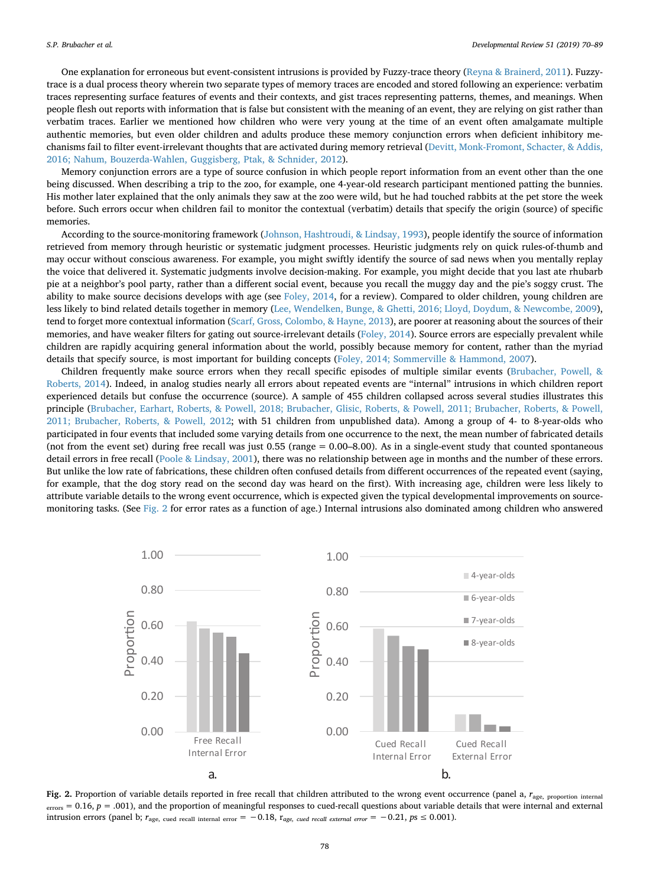One explanation for erroneous but event-consistent intrusions is provided by Fuzzy-trace theory [\(Reyna & Brainerd, 2011](#page-19-15)). Fuzzytrace is a dual process theory wherein two separate types of memory traces are encoded and stored following an experience: verbatim traces representing surface features of events and their contexts, and gist traces representing patterns, themes, and meanings. When people flesh out reports with information that is false but consistent with the meaning of an event, they are relying on gist rather than verbatim traces. Earlier we mentioned how children who were very young at the time of an event often amalgamate multiple authentic memories, but even older children and adults produce these memory conjunction errors when deficient inhibitory mechanisms fail to filter event-irrelevant thoughts that are activated during memory retrieval [\(Devitt, Monk-Fromont, Schacter, & Addis,](#page-17-6) [2016; Nahum, Bouzerda-Wahlen, Guggisberg, Ptak, & Schnider, 2012\)](#page-17-6).

Memory conjunction errors are a type of source confusion in which people report information from an event other than the one being discussed. When describing a trip to the zoo, for example, one 4-year-old research participant mentioned patting the bunnies. His mother later explained that the only animals they saw at the zoo were wild, but he had touched rabbits at the pet store the week before. Such errors occur when children fail to monitor the contextual (verbatim) details that specify the origin (source) of specific memories.

According to the source-monitoring framework [\(Johnson, Hashtroudi, & Lindsay, 1993\)](#page-18-10), people identify the source of information retrieved from memory through heuristic or systematic judgment processes. Heuristic judgments rely on quick rules-of-thumb and may occur without conscious awareness. For example, you might swiftly identify the source of sad news when you mentally replay the voice that delivered it. Systematic judgments involve decision-making. For example, you might decide that you last ate rhubarb pie at a neighbor's pool party, rather than a different social event, because you recall the muggy day and the pie's soggy crust. The ability to make source decisions develops with age (see [Foley, 2014,](#page-17-7) for a review). Compared to older children, young children are less likely to bind related details together in memory ([Lee, Wendelken, Bunge, & Ghetti, 2016; Lloyd, Doydum, & Newcombe, 2009](#page-18-11)), tend to forget more contextual information ([Scarf, Gross, Colombo, & Hayne, 2013\)](#page-19-16), are poorer at reasoning about the sources of their memories, and have weaker filters for gating out source-irrelevant details [\(Foley, 2014\)](#page-17-7). Source errors are especially prevalent while children are rapidly acquiring general information about the world, possibly because memory for content, rather than the myriad details that specify source, is most important for building concepts ([Foley, 2014; Sommerville & Hammond, 2007\)](#page-17-7).

Children frequently make source errors when they recall specific episodes of multiple similar events ([Brubacher, Powell, &](#page-17-8) [Roberts, 2014\)](#page-17-8). Indeed, in analog studies nearly all errors about repeated events are "internal" intrusions in which children report experienced details but confuse the occurrence (source). A sample of 455 children collapsed across several studies illustrates this principle [\(Brubacher, Earhart, Roberts, & Powell, 2018; Brubacher, Glisic, Roberts, & Powell, 2011; Brubacher, Roberts, & Powell,](#page-17-9) [2011; Brubacher, Roberts, & Powell, 2012;](#page-17-9) with 51 children from unpublished data). Among a group of 4- to 8-year-olds who participated in four events that included some varying details from one occurrence to the next, the mean number of fabricated details (not from the event set) during free recall was just 0.55 (range = 0.00–8.00). As in a single-event study that counted spontaneous detail errors in free recall ([Poole & Lindsay, 2001](#page-19-11)), there was no relationship between age in months and the number of these errors. But unlike the low rate of fabrications, these children often confused details from different occurrences of the repeated event (saying, for example, that the dog story read on the second day was heard on the first). With increasing age, children were less likely to attribute variable details to the wrong event occurrence, which is expected given the typical developmental improvements on sourcemonitoring tasks. (See [Fig. 2](#page-9-0) for error rates as a function of age.) Internal intrusions also dominated among children who answered

<span id="page-9-0"></span>

**Fig. 2.** Proportion of variable details reported in free recall that children attributed to the wrong event occurrence (panel a, *r*age, proportion internal  $_{\text{errors}}$  = 0.16,  $p$  = .001), and the proportion of meaningful responses to cued-recall questions about variable details that were internal and external intrusion errors (panel b;  $r_{\text{age, cued recall internal error}} = -0.18$ ,  $r_{\text{age, cued recall external error}} = -0.21$ ,  $ps \le 0.001$ ).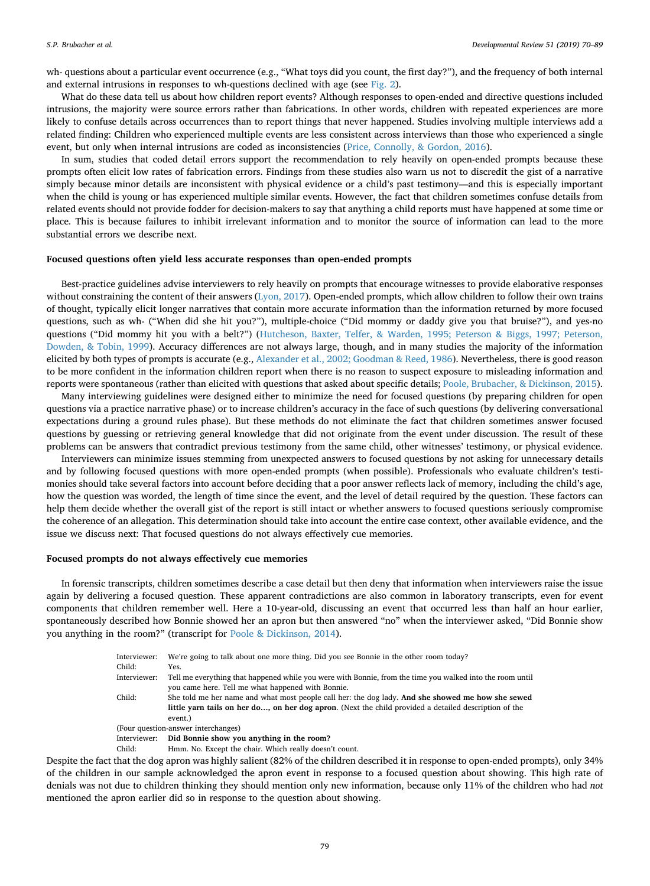wh- questions about a particular event occurrence (e.g., "What toys did you count, the first day?"), and the frequency of both internal and external intrusions in responses to wh-questions declined with age (see [Fig. 2](#page-9-0)).

What do these data tell us about how children report events? Although responses to open-ended and directive questions included intrusions, the majority were source errors rather than fabrications. In other words, children with repeated experiences are more likely to confuse details across occurrences than to report things that never happened. Studies involving multiple interviews add a related finding: Children who experienced multiple events are less consistent across interviews than those who experienced a single event, but only when internal intrusions are coded as inconsistencies ([Price, Connolly, & Gordon, 2016](#page-19-17)).

In sum, studies that coded detail errors support the recommendation to rely heavily on open-ended prompts because these prompts often elicit low rates of fabrication errors. Findings from these studies also warn us not to discredit the gist of a narrative simply because minor details are inconsistent with physical evidence or a child's past testimony—and this is especially important when the child is young or has experienced multiple similar events. However, the fact that children sometimes confuse details from related events should not provide fodder for decision-makers to say that anything a child reports must have happened at some time or place. This is because failures to inhibit irrelevant information and to monitor the source of information can lead to the more substantial errors we describe next.

#### **Focused questions often yield less accurate responses than open-ended prompts**

Best-practice guidelines advise interviewers to rely heavily on prompts that encourage witnesses to provide elaborative responses without constraining the content of their answers [\(Lyon, 2017\)](#page-18-9). Open-ended prompts, which allow children to follow their own trains of thought, typically elicit longer narratives that contain more accurate information than the information returned by more focused questions, such as wh- ("When did she hit you?"), multiple-choice ("Did mommy or daddy give you that bruise?"), and yes-no questions ("Did mommy hit you with a belt?") ([Hutcheson, Baxter, Telfer, & Warden, 1995; Peterson & Biggs, 1997; Peterson,](#page-18-12) [Dowden, & Tobin, 1999\)](#page-18-12). Accuracy differences are not always large, though, and in many studies the majority of the information elicited by both types of prompts is accurate (e.g., [Alexander et al., 2002; Goodman & Reed, 1986](#page-16-3)). Nevertheless, there is good reason to be more confident in the information children report when there is no reason to suspect exposure to misleading information and reports were spontaneous (rather than elicited with questions that asked about specific details; [Poole, Brubacher, & Dickinson, 2015](#page-19-18)).

Many interviewing guidelines were designed either to minimize the need for focused questions (by preparing children for open questions via a practice narrative phase) or to increase children's accuracy in the face of such questions (by delivering conversational expectations during a ground rules phase). But these methods do not eliminate the fact that children sometimes answer focused questions by guessing or retrieving general knowledge that did not originate from the event under discussion. The result of these problems can be answers that contradict previous testimony from the same child, other witnesses' testimony, or physical evidence.

Interviewers can minimize issues stemming from unexpected answers to focused questions by not asking for unnecessary details and by following focused questions with more open-ended prompts (when possible). Professionals who evaluate children's testimonies should take several factors into account before deciding that a poor answer reflects lack of memory, including the child's age, how the question was worded, the length of time since the event, and the level of detail required by the question. These factors can help them decide whether the overall gist of the report is still intact or whether answers to focused questions seriously compromise the coherence of an allegation. This determination should take into account the entire case context, other available evidence, and the issue we discuss next: That focused questions do not always effectively cue memories.

#### **Focused prompts do not always effectively cue memories**

In forensic transcripts, children sometimes describe a case detail but then deny that information when interviewers raise the issue again by delivering a focused question. These apparent contradictions are also common in laboratory transcripts, even for event components that children remember well. Here a 10-year-old, discussing an event that occurred less than half an hour earlier, spontaneously described how Bonnie showed her an apron but then answered "no" when the interviewer asked, "Did Bonnie show you anything in the room?" (transcript for [Poole & Dickinson, 2014](#page-19-19)).

| Interviewer: | We're going to talk about one more thing. Did you see Bonnie in the other room today?                                                                                                                                 |
|--------------|-----------------------------------------------------------------------------------------------------------------------------------------------------------------------------------------------------------------------|
| Child:       | Yes.                                                                                                                                                                                                                  |
| Interviewer: | Tell me everything that happened while you were with Bonnie, from the time you walked into the room until<br>you came here. Tell me what happened with Bonnie.                                                        |
| Child:       | She told me her name and what most people call her: the dog lady. And she showed me how she sewed<br>little yarn tails on her do, on her dog apron. (Next the child provided a detailed description of the<br>event.) |
|              | (Four question-answer interchanges)                                                                                                                                                                                   |
| Interviewer: | Did Bonnie show you anything in the room?                                                                                                                                                                             |
| Child:       | Hmm. No. Except the chair. Which really doesn't count.                                                                                                                                                                |

Despite the fact that the dog apron was highly salient (82% of the children described it in response to open-ended prompts), only 34% of the children in our sample acknowledged the apron event in response to a focused question about showing. This high rate of denials was not due to children thinking they should mention only new information, because only 11% of the children who had *not* mentioned the apron earlier did so in response to the question about showing.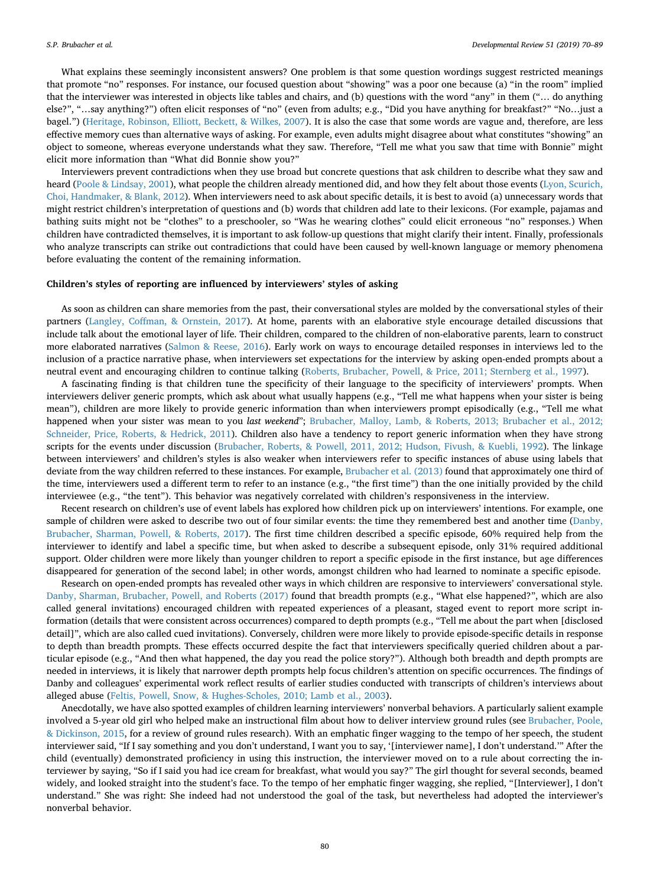What explains these seemingly inconsistent answers? One problem is that some question wordings suggest restricted meanings that promote "no" responses. For instance, our focused question about "showing" was a poor one because (a) "in the room" implied that the interviewer was interested in objects like tables and chairs, and (b) questions with the word "any" in them ("… do anything else?", "…say anything?") often elicit responses of "no" (even from adults; e.g., "Did you have anything for breakfast?" "No…just a bagel.") [\(Heritage, Robinson, Elliott, Beckett, & Wilkes, 2007\)](#page-17-10). It is also the case that some words are vague and, therefore, are less effective memory cues than alternative ways of asking. For example, even adults might disagree about what constitutes "showing" an object to someone, whereas everyone understands what they saw. Therefore, "Tell me what you saw that time with Bonnie" might elicit more information than "What did Bonnie show you?"

Interviewers prevent contradictions when they use broad but concrete questions that ask children to describe what they saw and heard [\(Poole & Lindsay, 2001](#page-19-11)), what people the children already mentioned did, and how they felt about those events [\(Lyon, Scurich,](#page-18-13) [Choi, Handmaker, & Blank, 2012\)](#page-18-13). When interviewers need to ask about specific details, it is best to avoid (a) unnecessary words that might restrict children's interpretation of questions and (b) words that children add late to their lexicons. (For example, pajamas and bathing suits might not be "clothes" to a preschooler, so "Was he wearing clothes" could elicit erroneous "no" responses.) When children have contradicted themselves, it is important to ask follow-up questions that might clarify their intent. Finally, professionals who analyze transcripts can strike out contradictions that could have been caused by well-known language or memory phenomena before evaluating the content of the remaining information.

#### **Children's styles of reporting are influenced by interviewers' styles of asking**

As soon as children can share memories from the past, their conversational styles are molded by the conversational styles of their partners ([Langley, Coffman, & Ornstein, 2017\)](#page-18-14). At home, parents with an elaborative style encourage detailed discussions that include talk about the emotional layer of life. Their children, compared to the children of non-elaborative parents, learn to construct more elaborated narratives [\(Salmon & Reese, 2016\)](#page-19-20). Early work on ways to encourage detailed responses in interviews led to the inclusion of a practice narrative phase, when interviewers set expectations for the interview by asking open-ended prompts about a neutral event and encouraging children to continue talking ([Roberts, Brubacher, Powell, & Price, 2011; Sternberg et al., 1997](#page-19-21)).

A fascinating finding is that children tune the specificity of their language to the specificity of interviewers' prompts. When interviewers deliver generic prompts, which ask about what usually happens (e.g., "Tell me what happens when your sister is being mean"), children are more likely to provide generic information than when interviewers prompt episodically (e.g., "Tell me what happened when your sister was mean to you *last weekend*"; [Brubacher, Malloy, Lamb, & Roberts, 2013; Brubacher et al., 2012;](#page-17-11) [Schneider, Price, Roberts, & Hedrick, 2011\)](#page-17-11). Children also have a tendency to report generic information when they have strong scripts for the events under discussion ([Brubacher, Roberts, & Powell, 2011, 2012; Hudson, Fivush, & Kuebli, 1992](#page-17-12)). The linkage between interviewers' and children's styles is also weaker when interviewers refer to specific instances of abuse using labels that deviate from the way children referred to these instances. For example, [Brubacher et al. \(2013\)](#page-17-11) found that approximately one third of the time, interviewers used a different term to refer to an instance (e.g., "the first time") than the one initially provided by the child interviewee (e.g., "the tent"). This behavior was negatively correlated with children's responsiveness in the interview.

Recent research on children's use of event labels has explored how children pick up on interviewers' intentions. For example, one sample of children were asked to describe two out of four similar events: the time they remembered best and another time [\(Danby,](#page-17-13) [Brubacher, Sharman, Powell, & Roberts, 2017](#page-17-13)). The first time children described a specific episode, 60% required help from the interviewer to identify and label a specific time, but when asked to describe a subsequent episode, only 31% required additional support. Older children were more likely than younger children to report a specific episode in the first instance, but age differences disappeared for generation of the second label; in other words, amongst children who had learned to nominate a specific episode.

Research on open-ended prompts has revealed other ways in which children are responsive to interviewers' conversational style. [Danby, Sharman, Brubacher, Powell, and Roberts \(2017\)](#page-17-14) found that breadth prompts (e.g., "What else happened?", which are also called general invitations) encouraged children with repeated experiences of a pleasant, staged event to report more script information (details that were consistent across occurrences) compared to depth prompts (e.g., "Tell me about the part when [disclosed detail]", which are also called cued invitations). Conversely, children were more likely to provide episode-specific details in response to depth than breadth prompts. These effects occurred despite the fact that interviewers specifically queried children about a particular episode (e.g., "And then what happened, the day you read the police story?"). Although both breadth and depth prompts are needed in interviews, it is likely that narrower depth prompts help focus children's attention on specific occurrences. The findings of Danby and colleagues' experimental work reflect results of earlier studies conducted with transcripts of children's interviews about alleged abuse ([Feltis, Powell, Snow, & Hughes-Scholes, 2010; Lamb et al., 2003](#page-17-15)).

Anecdotally, we have also spotted examples of children learning interviewers' nonverbal behaviors. A particularly salient example involved a 5-year old girl who helped make an instructional film about how to deliver interview ground rules (see [Brubacher, Poole,](#page-17-16) [& Dickinson, 2015](#page-17-16), for a review of ground rules research). With an emphatic finger wagging to the tempo of her speech, the student interviewer said, "If I say something and you don't understand, I want you to say, '[interviewer name], I don't understand.'" After the child (eventually) demonstrated proficiency in using this instruction, the interviewer moved on to a rule about correcting the interviewer by saying, "So if I said you had ice cream for breakfast, what would you say?" The girl thought for several seconds, beamed widely, and looked straight into the student's face. To the tempo of her emphatic finger wagging, she replied, "[Interviewer], I don't understand." She was right: She indeed had not understood the goal of the task, but nevertheless had adopted the interviewer's nonverbal behavior.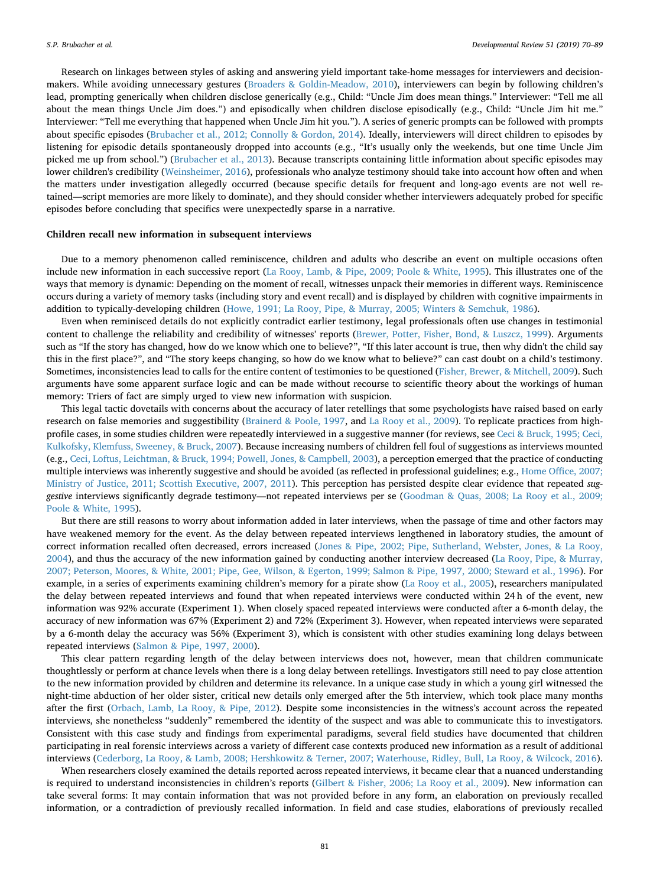Research on linkages between styles of asking and answering yield important take-home messages for interviewers and decisionmakers. While avoiding unnecessary gestures ([Broaders & Goldin-Meadow, 2010\)](#page-17-17), interviewers can begin by following children's lead, prompting generically when children disclose generically (e.g., Child: "Uncle Jim does mean things." Interviewer: "Tell me all about the mean things Uncle Jim does.") and episodically when children disclose episodically (e.g., Child: "Uncle Jim hit me." Interviewer: "Tell me everything that happened when Uncle Jim hit you."). A series of generic prompts can be followed with prompts about specific episodes ([Brubacher et al., 2012; Connolly & Gordon, 2014](#page-17-18)). Ideally, interviewers will direct children to episodes by listening for episodic details spontaneously dropped into accounts (e.g., "It's usually only the weekends, but one time Uncle Jim picked me up from school.") ([Brubacher et al., 2013\)](#page-17-11). Because transcripts containing little information about specific episodes may lower children's credibility [\(Weinsheimer, 2016\)](#page-20-1), professionals who analyze testimony should take into account how often and when the matters under investigation allegedly occurred (because specific details for frequent and long-ago events are not well retained—script memories are more likely to dominate), and they should consider whether interviewers adequately probed for specific episodes before concluding that specifics were unexpectedly sparse in a narrative.

#### **Children recall new information in subsequent interviews**

Due to a memory phenomenon called reminiscence, children and adults who describe an event on multiple occasions often include new information in each successive report [\(La Rooy, Lamb, & Pipe, 2009; Poole & White, 1995\)](#page-18-15). This illustrates one of the ways that memory is dynamic: Depending on the moment of recall, witnesses unpack their memories in different ways. Reminiscence occurs during a variety of memory tasks (including story and event recall) and is displayed by children with cognitive impairments in addition to typically-developing children [\(Howe, 1991; La Rooy, Pipe, & Murray, 2005; Winters & Semchuk, 1986](#page-17-19)).

Even when reminisced details do not explicitly contradict earlier testimony, legal professionals often use changes in testimonial content to challenge the reliability and credibility of witnesses' reports [\(Brewer, Potter, Fisher, Bond, & Luszcz, 1999\)](#page-16-4). Arguments such as "If the story has changed, how do we know which one to believe?", "If this later account is true, then why didn't the child say this in the first place?", and "The story keeps changing, so how do we know what to believe?" can cast doubt on a child's testimony. Sometimes, inconsistencies lead to calls for the entire content of testimonies to be questioned ([Fisher, Brewer, & Mitchell, 2009](#page-17-20)). Such arguments have some apparent surface logic and can be made without recourse to scientific theory about the workings of human memory: Triers of fact are simply urged to view new information with suspicion.

This legal tactic dovetails with concerns about the accuracy of later retellings that some psychologists have raised based on early research on false memories and suggestibility ([Brainerd & Poole, 1997](#page-16-5), and [La Rooy et al., 2009](#page-18-15)). To replicate practices from highprofile cases, in some studies children were repeatedly interviewed in a suggestive manner (for reviews, see [Ceci & Bruck, 1995; Ceci,](#page-17-21) [Kulkofsky, Klemfuss, Sweeney, & Bruck, 2007\)](#page-17-21). Because increasing numbers of children fell foul of suggestions as interviews mounted (e.g., [Ceci, Loftus, Leichtman, & Bruck, 1994; Powell, Jones, & Campbell, 2003\)](#page-17-22), a perception emerged that the practice of conducting multiple interviews was inherently suggestive and should be avoided (as reflected in professional guidelines; e.g., [Home Office, 2007;](#page-17-23) [Ministry of Justice, 2011; Scottish Executive, 2007, 2011\)](#page-17-23). This perception has persisted despite clear evidence that repeated *suggestive* interviews significantly degrade testimony—not repeated interviews per se [\(Goodman & Quas, 2008; La Rooy et al., 2009;](#page-17-24) [Poole & White, 1995](#page-17-24)).

But there are still reasons to worry about information added in later interviews, when the passage of time and other factors may have weakened memory for the event. As the delay between repeated interviews lengthened in laboratory studies, the amount of correct information recalled often decreased, errors increased ([Jones & Pipe, 2002; Pipe, Sutherland, Webster, Jones, & La Rooy,](#page-18-16) [2004\)](#page-18-16), and thus the accuracy of the new information gained by conducting another interview decreased [\(La Rooy, Pipe, & Murray,](#page-18-17) [2007; Peterson, Moores, & White, 2001; Pipe, Gee, Wilson, & Egerton, 1999; Salmon & Pipe, 1997, 2000; Steward et al., 1996\)](#page-18-17). For example, in a series of experiments examining children's memory for a pirate show [\(La Rooy et al., 2005](#page-18-18)), researchers manipulated the delay between repeated interviews and found that when repeated interviews were conducted within 24 h of the event, new information was 92% accurate (Experiment 1). When closely spaced repeated interviews were conducted after a 6-month delay, the accuracy of new information was 67% (Experiment 2) and 72% (Experiment 3). However, when repeated interviews were separated by a 6-month delay the accuracy was 56% (Experiment 3), which is consistent with other studies examining long delays between repeated interviews [\(Salmon & Pipe, 1997, 2000\)](#page-19-22).

This clear pattern regarding length of the delay between interviews does not, however, mean that children communicate thoughtlessly or perform at chance levels when there is a long delay between retellings. Investigators still need to pay close attention to the new information provided by children and determine its relevance. In a unique case study in which a young girl witnessed the night-time abduction of her older sister, critical new details only emerged after the 5th interview, which took place many months after the first [\(Orbach, Lamb, La Rooy, & Pipe, 2012](#page-18-19)). Despite some inconsistencies in the witness's account across the repeated interviews, she nonetheless "suddenly" remembered the identity of the suspect and was able to communicate this to investigators. Consistent with this case study and findings from experimental paradigms, several field studies have documented that children participating in real forensic interviews across a variety of different case contexts produced new information as a result of additional interviews [\(Cederborg, La Rooy, & Lamb, 2008; Hershkowitz & Terner, 2007; Waterhouse, Ridley, Bull, La Rooy, & Wilcock, 2016](#page-17-25)).

When researchers closely examined the details reported across repeated interviews, it became clear that a nuanced understanding is required to understand inconsistencies in children's reports [\(Gilbert & Fisher, 2006; La Rooy et al., 2009\)](#page-17-26). New information can take several forms: It may contain information that was not provided before in any form, an elaboration on previously recalled information, or a contradiction of previously recalled information. In field and case studies, elaborations of previously recalled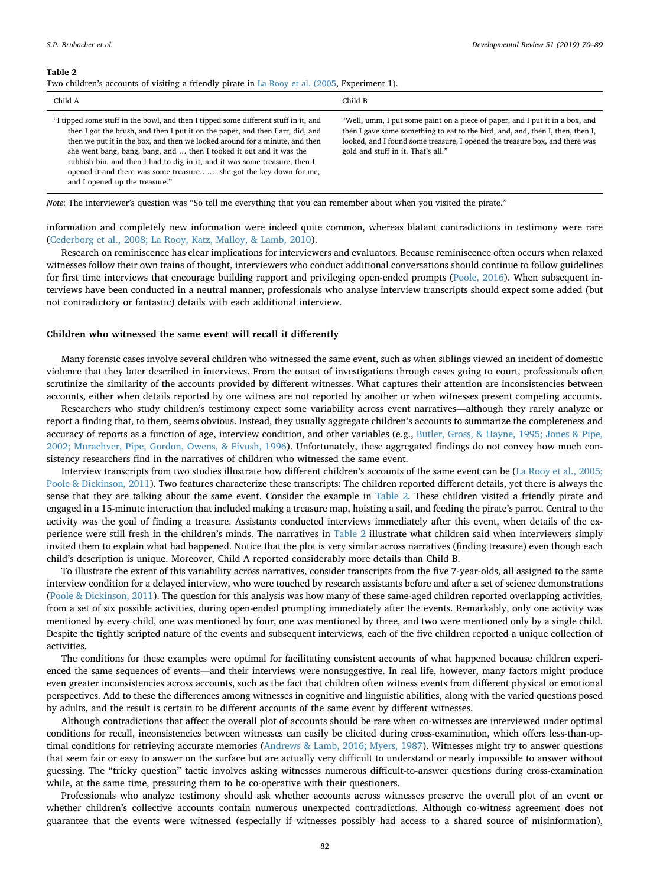<span id="page-13-0"></span>

| Table 2                                                                                       |
|-----------------------------------------------------------------------------------------------|
| Two children's accounts of visiting a friendly pirate in La Rooy et al. (2005, Experiment 1). |

| Child A                                                                                                                                                                                                                                                                                                                                                                                                                                                                                                           | Child B                                                                                                                                                                                                                                                                             |
|-------------------------------------------------------------------------------------------------------------------------------------------------------------------------------------------------------------------------------------------------------------------------------------------------------------------------------------------------------------------------------------------------------------------------------------------------------------------------------------------------------------------|-------------------------------------------------------------------------------------------------------------------------------------------------------------------------------------------------------------------------------------------------------------------------------------|
| "I tipped some stuff in the bowl, and then I tipped some different stuff in it, and<br>then I got the brush, and then I put it on the paper, and then I arr, did, and<br>then we put it in the box, and then we looked around for a minute, and then<br>she went bang, bang, bang, and  then I tooked it out and it was the<br>rubbish bin, and then I had to dig in it, and it was some treasure, then I<br>opened it and there was some treasure she got the key down for me,<br>and I opened up the treasure." | "Well, umm, I put some paint on a piece of paper, and I put it in a box, and<br>then I gave some something to eat to the bird, and, and, then I, then, then I,<br>looked, and I found some treasure, I opened the treasure box, and there was<br>gold and stuff in it. That's all." |

*Note*: The interviewer's question was "So tell me everything that you can remember about when you visited the pirate."

information and completely new information were indeed quite common, whereas blatant contradictions in testimony were rare [\(Cederborg et al., 2008; La Rooy, Katz, Malloy, & Lamb, 2010\)](#page-17-25).

Research on reminiscence has clear implications for interviewers and evaluators. Because reminiscence often occurs when relaxed witnesses follow their own trains of thought, interviewers who conduct additional conversations should continue to follow guidelines for first time interviews that encourage building rapport and privileging open-ended prompts ([Poole, 2016](#page-19-6)). When subsequent interviews have been conducted in a neutral manner, professionals who analyse interview transcripts should expect some added (but not contradictory or fantastic) details with each additional interview.

#### **Children who witnessed the same event will recall it differently**

Many forensic cases involve several children who witnessed the same event, such as when siblings viewed an incident of domestic violence that they later described in interviews. From the outset of investigations through cases going to court, professionals often scrutinize the similarity of the accounts provided by different witnesses. What captures their attention are inconsistencies between accounts, either when details reported by one witness are not reported by another or when witnesses present competing accounts.

Researchers who study children's testimony expect some variability across event narratives—although they rarely analyze or report a finding that, to them, seems obvious. Instead, they usually aggregate children's accounts to summarize the completeness and accuracy of reports as a function of age, interview condition, and other variables (e.g., [Butler, Gross, & Hayne, 1995; Jones & Pipe,](#page-17-27) [2002; Murachver, Pipe, Gordon, Owens, & Fivush, 1996](#page-17-27)). Unfortunately, these aggregated findings do not convey how much consistency researchers find in the narratives of children who witnessed the same event.

Interview transcripts from two studies illustrate how different children's accounts of the same event can be [\(La Rooy et al., 2005;](#page-18-18) [Poole & Dickinson, 2011\)](#page-18-18). Two features characterize these transcripts: The children reported different details, yet there is always the sense that they are talking about the same event. Consider the example in [Table 2.](#page-13-0) These children visited a friendly pirate and engaged in a 15-minute interaction that included making a treasure map, hoisting a sail, and feeding the pirate's parrot. Central to the activity was the goal of finding a treasure. Assistants conducted interviews immediately after this event, when details of the experience were still fresh in the children's minds. The narratives in [Table 2](#page-13-0) illustrate what children said when interviewers simply invited them to explain what had happened. Notice that the plot is very similar across narratives (finding treasure) even though each child's description is unique. Moreover, Child A reported considerably more details than Child B.

To illustrate the extent of this variability across narratives, consider transcripts from the five 7-year-olds, all assigned to the same interview condition for a delayed interview, who were touched by research assistants before and after a set of science demonstrations [\(Poole & Dickinson, 2011\)](#page-19-10). The question for this analysis was how many of these same-aged children reported overlapping activities, from a set of six possible activities, during open-ended prompting immediately after the events. Remarkably, only one activity was mentioned by every child, one was mentioned by four, one was mentioned by three, and two were mentioned only by a single child. Despite the tightly scripted nature of the events and subsequent interviews, each of the five children reported a unique collection of activities.

The conditions for these examples were optimal for facilitating consistent accounts of what happened because children experienced the same sequences of events—and their interviews were nonsuggestive. In real life, however, many factors might produce even greater inconsistencies across accounts, such as the fact that children often witness events from different physical or emotional perspectives. Add to these the differences among witnesses in cognitive and linguistic abilities, along with the varied questions posed by adults, and the result is certain to be different accounts of the same event by different witnesses.

Although contradictions that affect the overall plot of accounts should be rare when co-witnesses are interviewed under optimal conditions for recall, inconsistencies between witnesses can easily be elicited during cross-examination, which offers less-than-optimal conditions for retrieving accurate memories [\(Andrews & Lamb, 2016; Myers, 1987](#page-16-6)). Witnesses might try to answer questions that seem fair or easy to answer on the surface but are actually very difficult to understand or nearly impossible to answer without guessing. The "tricky question" tactic involves asking witnesses numerous difficult-to-answer questions during cross-examination while, at the same time, pressuring them to be co-operative with their questioners.

Professionals who analyze testimony should ask whether accounts across witnesses preserve the overall plot of an event or whether children's collective accounts contain numerous unexpected contradictions. Although co-witness agreement does not guarantee that the events were witnessed (especially if witnesses possibly had access to a shared source of misinformation),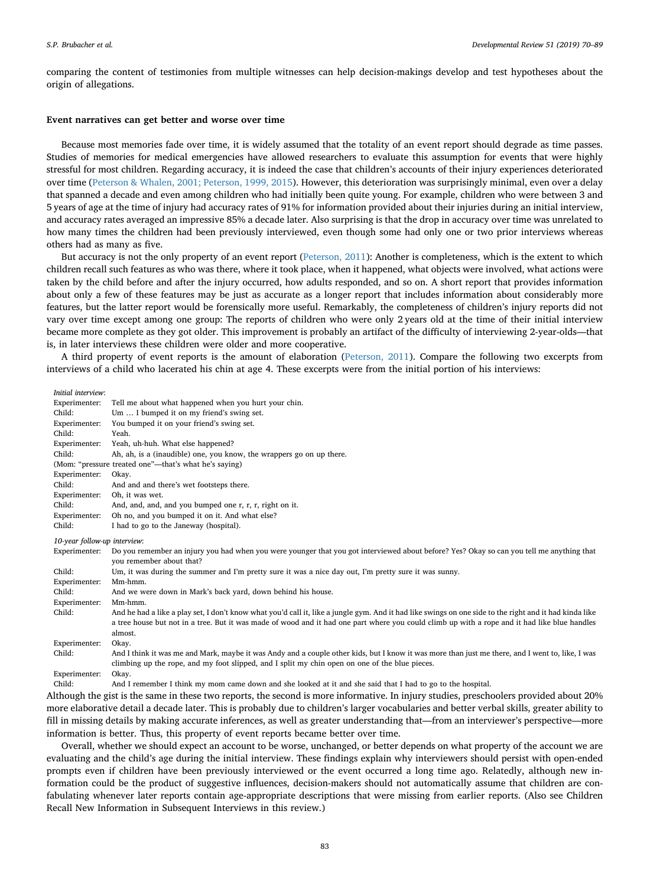comparing the content of testimonies from multiple witnesses can help decision-makings develop and test hypotheses about the origin of allegations.

#### **Event narratives can get better and worse over time**

Because most memories fade over time, it is widely assumed that the totality of an event report should degrade as time passes. Studies of memories for medical emergencies have allowed researchers to evaluate this assumption for events that were highly stressful for most children. Regarding accuracy, it is indeed the case that children's accounts of their injury experiences deteriorated over time [\(Peterson & Whalen, 2001; Peterson, 1999, 2015](#page-19-7)). However, this deterioration was surprisingly minimal, even over a delay that spanned a decade and even among children who had initially been quite young. For example, children who were between 3 and 5 years of age at the time of injury had accuracy rates of 91% for information provided about their injuries during an initial interview, and accuracy rates averaged an impressive 85% a decade later. Also surprising is that the drop in accuracy over time was unrelated to how many times the children had been previously interviewed, even though some had only one or two prior interviews whereas others had as many as five.

But accuracy is not the only property of an event report [\(Peterson, 2011\)](#page-18-20): Another is completeness, which is the extent to which children recall such features as who was there, where it took place, when it happened, what objects were involved, what actions were taken by the child before and after the injury occurred, how adults responded, and so on. A short report that provides information about only a few of these features may be just as accurate as a longer report that includes information about considerably more features, but the latter report would be forensically more useful. Remarkably, the completeness of children's injury reports did not vary over time except among one group: The reports of children who were only 2 years old at the time of their initial interview became more complete as they got older. This improvement is probably an artifact of the difficulty of interviewing 2-year-olds—that is, in later interviews these children were older and more cooperative.

A third property of event reports is the amount of elaboration ([Peterson, 2011](#page-18-20)). Compare the following two excerpts from interviews of a child who lacerated his chin at age 4. These excerpts were from the initial portion of his interviews:

| Initial interview:           |                                                                                                                                                         |
|------------------------------|---------------------------------------------------------------------------------------------------------------------------------------------------------|
| Experimenter:                | Tell me about what happened when you hurt your chin.                                                                                                    |
| Child:                       | Um  I bumped it on my friend's swing set.                                                                                                               |
| Experimenter:                | You bumped it on your friend's swing set.                                                                                                               |
| Child:                       | Yeah.                                                                                                                                                   |
| Experimenter:                | Yeah, uh-huh. What else happened?                                                                                                                       |
| Child:                       | Ah, ah, is a (inaudible) one, you know, the wrappers go on up there.                                                                                    |
|                              | (Mom: "pressure treated one"-that's what he's saying)                                                                                                   |
| Experimenter:                | Okay.                                                                                                                                                   |
| Child:                       | And and and there's wet footsteps there.                                                                                                                |
| Experimenter:                | Oh, it was wet.                                                                                                                                         |
| Child:                       | And, and, and, and you bumped one r, r, r, right on it.                                                                                                 |
| Experimenter:                | Oh no, and you bumped it on it. And what else?                                                                                                          |
| Child:                       | I had to go to the Janeway (hospital).                                                                                                                  |
|                              |                                                                                                                                                         |
| 10-year follow-up interview: |                                                                                                                                                         |
| Experimenter:                | Do you remember an injury you had when you were younger that you got interviewed about before? Yes? Okay so can you tell me anything that               |
|                              | you remember about that?                                                                                                                                |
| Child:                       | Um, it was during the summer and I'm pretty sure it was a nice day out, I'm pretty sure it was sunny.                                                   |
| Experimenter:                | Mm-hmm.                                                                                                                                                 |
| Child:                       | And we were down in Mark's back yard, down behind his house.                                                                                            |
| Experimenter:                | Mm-hmm.                                                                                                                                                 |
| Child:                       | And he had a like a play set, I don't know what you'd call it, like a jungle gym. And it had like swings on one side to the right and it had kinda like |
|                              | a tree house but not in a tree. But it was made of wood and it had one part where you could climb up with a rope and it had like blue handles           |
|                              | almost.                                                                                                                                                 |
| Experimenter:                | Okay.                                                                                                                                                   |
| Child:                       | And I think it was me and Mark, maybe it was Andy and a couple other kids, but I know it was more than just me there, and I went to, like, I was        |
|                              | climbing up the rope, and my foot slipped, and I split my chin open on one of the blue pieces.                                                          |
| Experimenter:<br>Child:      | Okay.<br>And I remember I think my mom came down and she looked at it and she said that I had to go to the hospital.                                    |

Although the gist is the same in these two reports, the second is more informative. In injury studies, preschoolers provided about 20% more elaborative detail a decade later. This is probably due to children's larger vocabularies and better verbal skills, greater ability to fill in missing details by making accurate inferences, as well as greater understanding that—from an interviewer's perspective—more information is better. Thus, this property of event reports became better over time.

Overall, whether we should expect an account to be worse, unchanged, or better depends on what property of the account we are evaluating and the child's age during the initial interview. These findings explain why interviewers should persist with open-ended prompts even if children have been previously interviewed or the event occurred a long time ago. Relatedly, although new information could be the product of suggestive influences, decision-makers should not automatically assume that children are confabulating whenever later reports contain age-appropriate descriptions that were missing from earlier reports. (Also see Children Recall New Information in Subsequent Interviews in this review.)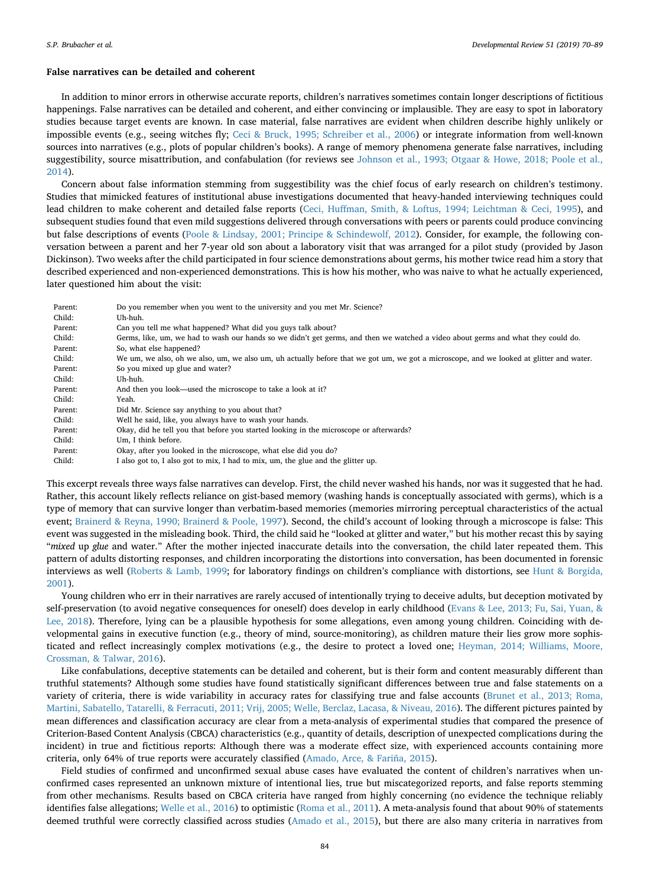#### **False narratives can be detailed and coherent**

In addition to minor errors in otherwise accurate reports, children's narratives sometimes contain longer descriptions of fictitious happenings. False narratives can be detailed and coherent, and either convincing or implausible. They are easy to spot in laboratory studies because target events are known. In case material, false narratives are evident when children describe highly unlikely or impossible events (e.g., seeing witches fly; [Ceci & Bruck, 1995; Schreiber et al., 2006](#page-17-21)) or integrate information from well-known sources into narratives (e.g., plots of popular children's books). A range of memory phenomena generate false narratives, including suggestibility, source misattribution, and confabulation (for reviews see [Johnson et al., 1993; Otgaar & Howe, 2018; Poole et al.,](#page-18-10) [2014\)](#page-18-10).

Concern about false information stemming from suggestibility was the chief focus of early research on children's testimony. Studies that mimicked features of institutional abuse investigations documented that heavy-handed interviewing techniques could lead children to make coherent and detailed false reports [\(Ceci, Huffman, Smith, & Loftus, 1994; Leichtman & Ceci, 1995\)](#page-17-28), and subsequent studies found that even mild suggestions delivered through conversations with peers or parents could produce convincing but false descriptions of events ([Poole & Lindsay, 2001; Principe & Schindewolf, 2012](#page-19-11)). Consider, for example, the following conversation between a parent and her 7-year old son about a laboratory visit that was arranged for a pilot study (provided by Jason Dickinson). Two weeks after the child participated in four science demonstrations about germs, his mother twice read him a story that described experienced and non-experienced demonstrations. This is how his mother, who was naive to what he actually experienced, later questioned him about the visit:

Parent: Do you remember when you went to the university and you met Mr. Science? Child: Uh-huh. Parent: Can you tell me what happened? What did you guys talk about? Child: Germs, like, um, we had to wash our hands so we didn't get germs, and then we watched a video about germs and what they could do. Parent: So, what else happened? Child: We um, we also, oh we also, um, we also um, uh actually before that we got um, we got a microscope, and we looked at glitter and water. Parent: So you mixed up glue and water? Child: Uh-huh. Parent: And then you look—used the microscope to take a look at it? Child: Yeah. Parent: Did Mr. Science say anything to you about that? Child: Well he said, like, you always have to wash your hands. Parent: Okay, did he tell you that before you started looking in the microscope or afterwards? Child: Um, I think before. Parent: Okay, after you looked in the microscope, what else did you do? Child: I also got to, I also got to mix, I had to mix, um, the glue and the glitter up.

This excerpt reveals three ways false narratives can develop. First, the child never washed his hands, nor was it suggested that he had. Rather, this account likely reflects reliance on gist-based memory (washing hands is conceptually associated with germs), which is a type of memory that can survive longer than verbatim-based memories (memories mirroring perceptual characteristics of the actual event; [Brainerd & Reyna, 1990; Brainerd & Poole, 1997\)](#page-16-7). Second, the child's account of looking through a microscope is false: This event was suggested in the misleading book. Third, the child said he "looked at glitter and water," but his mother recast this by saying "*mixed* up *glue* and water." After the mother injected inaccurate details into the conversation, the child later repeated them. This pattern of adults distorting responses, and children incorporating the distortions into conversation, has been documented in forensic interviews as well [\(Roberts & Lamb, 1999](#page-19-23); for laboratory findings on children's compliance with distortions, see [Hunt & Borgida,](#page-18-21) [2001\)](#page-18-21).

Young children who err in their narratives are rarely accused of intentionally trying to deceive adults, but deception motivated by self-preservation (to avoid negative consequences for oneself) does develop in early childhood ([Evans & Lee, 2013; Fu, Sai, Yuan, &](#page-17-29) [Lee, 2018](#page-17-29)). Therefore, lying can be a plausible hypothesis for some allegations, even among young children. Coinciding with developmental gains in executive function (e.g., theory of mind, source-monitoring), as children mature their lies grow more sophisticated and reflect increasingly complex motivations (e.g., the desire to protect a loved one; [Heyman, 2014; Williams, Moore,](#page-17-30) [Crossman, & Talwar, 2016\)](#page-17-30).

Like confabulations, deceptive statements can be detailed and coherent, but is their form and content measurably different than truthful statements? Although some studies have found statistically significant differences between true and false statements on a variety of criteria, there is wide variability in accuracy rates for classifying true and false accounts [\(Brunet et al., 2013; Roma,](#page-17-31) [Martini, Sabatello, Tatarelli, & Ferracuti, 2011; Vrij, 2005; Welle, Berclaz, Lacasa, & Niveau, 2016\)](#page-17-31). The different pictures painted by mean differences and classification accuracy are clear from a meta-analysis of experimental studies that compared the presence of Criterion-Based Content Analysis (CBCA) characteristics (e.g., quantity of details, description of unexpected complications during the incident) in true and fictitious reports: Although there was a moderate effect size, with experienced accounts containing more criteria, only 64% of true reports were accurately classified ([Amado, Arce, & Fariña, 2015](#page-16-8)).

Field studies of confirmed and unconfirmed sexual abuse cases have evaluated the content of children's narratives when unconfirmed cases represented an unknown mixture of intentional lies, true but miscategorized reports, and false reports stemming from other mechanisms. Results based on CBCA criteria have ranged from highly concerning (no evidence the technique reliably identifies false allegations; [Welle et al., 2016\)](#page-20-2) to optimistic [\(Roma et al., 2011\)](#page-19-24). A meta-analysis found that about 90% of statements deemed truthful were correctly classified across studies [\(Amado et al., 2015\)](#page-16-8), but there are also many criteria in narratives from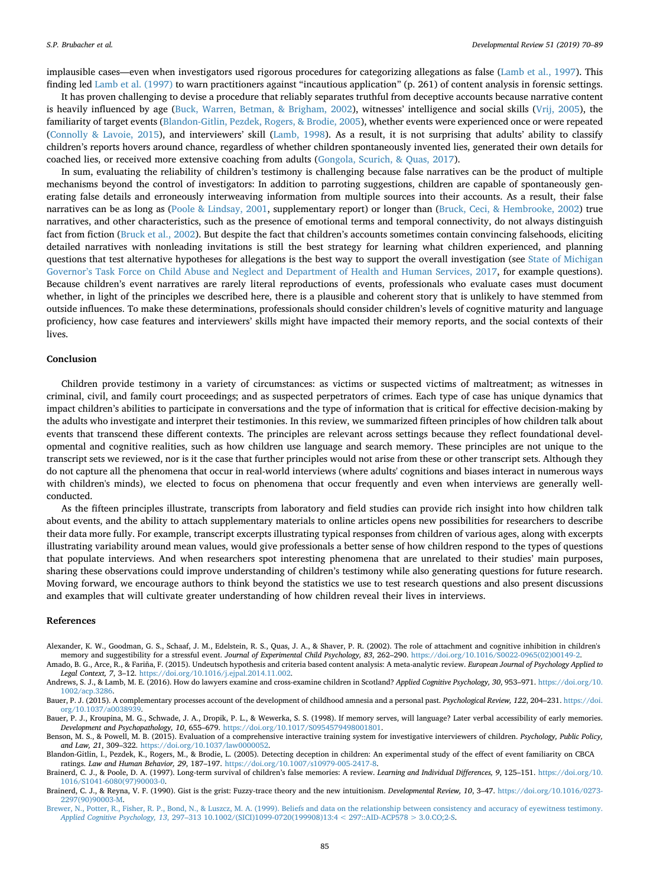implausible cases—even when investigators used rigorous procedures for categorizing allegations as false ([Lamb et al., 1997](#page-18-22)). This finding led [Lamb et al. \(1997\)](#page-18-22) to warn practitioners against "incautious application" (p. 261) of content analysis in forensic settings.

It has proven challenging to devise a procedure that reliably separates truthful from deceptive accounts because narrative content is heavily influenced by age ([Buck, Warren, Betman, & Brigham, 2002](#page-17-32)), witnesses' intelligence and social skills [\(Vrij, 2005\)](#page-19-25), the familiarity of target events ([Blandon-Gitlin, Pezdek, Rogers, & Brodie, 2005](#page-16-9)), whether events were experienced once or were repeated [\(Connolly & Lavoie, 2015](#page-17-33)), and interviewers' skill [\(Lamb, 1998](#page-18-23)). As a result, it is not surprising that adults' ability to classify children's reports hovers around chance, regardless of whether children spontaneously invented lies, generated their own details for coached lies, or received more extensive coaching from adults ([Gongola, Scurich, & Quas, 2017\)](#page-17-34).

In sum, evaluating the reliability of children's testimony is challenging because false narratives can be the product of multiple mechanisms beyond the control of investigators: In addition to parroting suggestions, children are capable of spontaneously generating false details and erroneously interweaving information from multiple sources into their accounts. As a result, their false narratives can be as long as ([Poole & Lindsay, 2001](#page-19-11), supplementary report) or longer than ([Bruck, Ceci, & Hembrooke, 2002](#page-17-35)) true narratives, and other characteristics, such as the presence of emotional terms and temporal connectivity, do not always distinguish fact from fiction [\(Bruck et al., 2002\)](#page-17-35). But despite the fact that children's accounts sometimes contain convincing falsehoods, eliciting detailed narratives with nonleading invitations is still the best strategy for learning what children experienced, and planning questions that test alternative hypotheses for allegations is the best way to support the overall investigation (see [State of Michigan](#page-19-26) [Governor's Task Force on Child Abuse and Neglect and Department of Health and Human Services, 2017,](#page-19-26) for example questions). Because children's event narratives are rarely literal reproductions of events, professionals who evaluate cases must document whether, in light of the principles we described here, there is a plausible and coherent story that is unlikely to have stemmed from outside influences. To make these determinations, professionals should consider children's levels of cognitive maturity and language proficiency, how case features and interviewers' skills might have impacted their memory reports, and the social contexts of their lives.

#### **Conclusion**

Children provide testimony in a variety of circumstances: as victims or suspected victims of maltreatment; as witnesses in criminal, civil, and family court proceedings; and as suspected perpetrators of crimes. Each type of case has unique dynamics that impact children's abilities to participate in conversations and the type of information that is critical for effective decision-making by the adults who investigate and interpret their testimonies. In this review, we summarized fifteen principles of how children talk about events that transcend these different contexts. The principles are relevant across settings because they reflect foundational developmental and cognitive realities, such as how children use language and search memory. These principles are not unique to the transcript sets we reviewed, nor is it the case that further principles would not arise from these or other transcript sets. Although they do not capture all the phenomena that occur in real-world interviews (where adults' cognitions and biases interact in numerous ways with children's minds), we elected to focus on phenomena that occur frequently and even when interviews are generally wellconducted.

As the fifteen principles illustrate, transcripts from laboratory and field studies can provide rich insight into how children talk about events, and the ability to attach supplementary materials to online articles opens new possibilities for researchers to describe their data more fully. For example, transcript excerpts illustrating typical responses from children of various ages, along with excerpts illustrating variability around mean values, would give professionals a better sense of how children respond to the types of questions that populate interviews. And when researchers spot interesting phenomena that are unrelated to their studies' main purposes, sharing these observations could improve understanding of children's testimony while also generating questions for future research. Moving forward, we encourage authors to think beyond the statistics we use to test research questions and also present discussions and examples that will cultivate greater understanding of how children reveal their lives in interviews.

#### **References**

<span id="page-16-3"></span>Alexander, K. W., Goodman, G. S., Schaaf, J. M., Edelstein, R. S., Quas, J. A., & Shaver, P. R. (2002). The role of attachment and cognitive inhibition in children's memory and suggestibility for a stressful event. *Journal of Experimental Child Psychology, 83*, 262–290. [https://doi.org/10.1016/S0022-0965\(02\)00149-2.](https://doi.org/10.1016/S0022-0965(02)00149-2)

<span id="page-16-8"></span>Amado, B. G., Arce, R., & Fariña, F. (2015). Undeutsch hypothesis and criteria based content analysis: A meta-analytic review. *European Journal of Psychology Applied to Legal Context, 7*, 3–12. [https://doi.org/10.1016/j.ejpal.2014.11.002.](https://doi.org/10.1016/j.ejpal.2014.11.002)

<span id="page-16-6"></span>Andrews, S. J., & Lamb, M. E. (2016). How do lawyers examine and cross-examine children in Scotland? *Applied Cognitive Psychology, 30*, 953–971. [https://doi.org/10.](https://doi.org/10.1002/acp.3286) [1002/acp.3286](https://doi.org/10.1002/acp.3286).

<span id="page-16-1"></span>Bauer, P. J., Kroupina, M. G., Schwade, J. A., Dropik, P. L., & Wewerka, S. S. (1998). If memory serves, will language? Later verbal accessibility of early memories. *Development and Psychopathology, 10*, 655–679. <https://doi.org/10.1017/S0954579498001801>.

<span id="page-16-2"></span>Benson, M. S., & Powell, M. B. (2015). Evaluation of a comprehensive interactive training system for investigative interviewers of children. *Psychology, Public Policy, and Law, 21*, 309–322. [https://doi.org/10.1037/law0000052.](https://doi.org/10.1037/law0000052)

<span id="page-16-9"></span>Blandon-Gitlin, I., Pezdek, K., Rogers, M., & Brodie, L. (2005). Detecting deception in children: An experimental study of the effect of event familiarity on CBCA ratings. *Law and Human Behavior, 29*, 187–197. [https://doi.org/10.1007/s10979-005-2417-8.](https://doi.org/10.1007/s10979-005-2417-8)

<span id="page-16-5"></span>Brainerd, C. J., & Poole, D. A. (1997). Long-term survival of children's false memories: A review. *Learning and Individual Differences, 9*, 125–151. [https://doi.org/10.](https://doi.org/10.1016/S1041-6080(97)90003-0) [1016/S1041-6080\(97\)90003-0](https://doi.org/10.1016/S1041-6080(97)90003-0). Brainerd, C. J., & Reyna, V. F. (1990). Gist is the grist: Fuzzy-trace theory and the new intuitionism. *Developmental Review, 10*, 3–47. [https://doi.org/10.1016/0273-](https://doi.org/10.1016/0273-2297(90)90003-M)

<span id="page-16-7"></span>[2297\(90\)90003-M.](https://doi.org/10.1016/0273-2297(90)90003-M)

<span id="page-16-4"></span>[Brewer, N., Potter, R., Fisher, R. P., Bond, N., & Luszcz, M. A. \(1999\). Beliefs and data on the relationship between consistency and accuracy of eyewitness testimony.](http://refhub.elsevier.com/S0273-2297(18)30009-1/h0055) *Applied Cognitive Psychology, 13*[, 297–313 10.1002/\(SICI\)1099-0720\(199908\)13:4 < 297::AID-ACP578 > 3.0.CO;2-S](http://refhub.elsevier.com/S0273-2297(18)30009-1/h0055).

<span id="page-16-0"></span>Bauer, P. J. (2015). A complementary processes account of the development of childhood amnesia and a personal past. *Psychological Review, 122*, 204–231. [https://doi.](https://doi.org/10.1037/a0038939) [org/10.1037/a0038939](https://doi.org/10.1037/a0038939).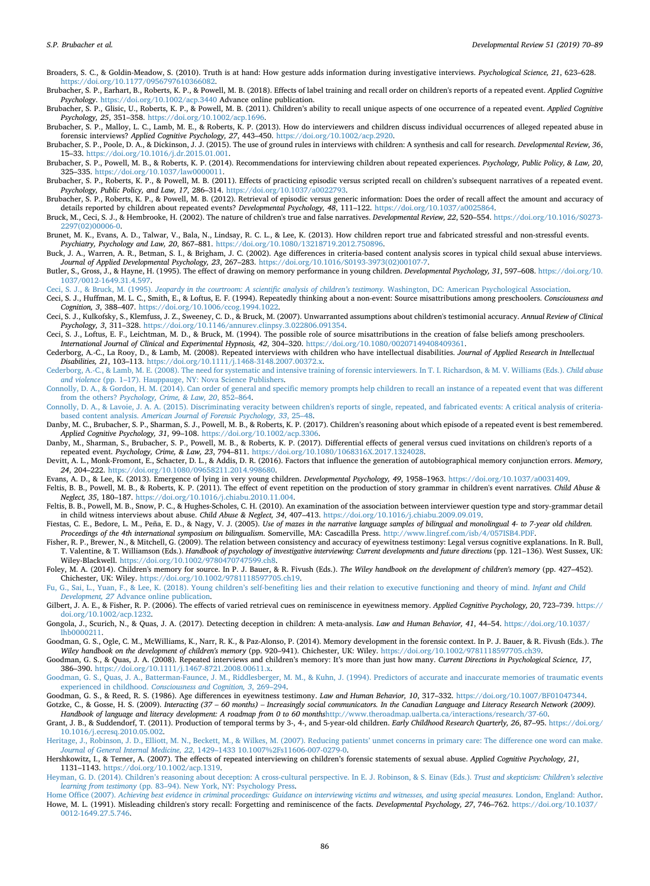- <span id="page-17-17"></span>Broaders, S. C., & Goldin-Meadow, S. (2010). Truth is at hand: How gesture adds information during investigative interviews. *Psychological Science, 21*, 623–628. <https://doi.org/10.1177/0956797610366082>.
- <span id="page-17-9"></span>Brubacher, S. P., Earhart, B., Roberts, K. P., & Powell, M. B. (2018). Effects of label training and recall order on children's reports of a repeated event. *Applied Cognitive Psychology*. <https://doi.org/10.1002/acp.3440> Advance online publication.
- Brubacher, S. P., Glisic, U., Roberts, K. P., & Powell, M. B. (2011). Children's ability to recall unique aspects of one occurrence of a repeated event. *Applied Cognitive Psychology, 25*, 351–358. [https://doi.org/10.1002/acp.1696.](https://doi.org/10.1002/acp.1696)
- <span id="page-17-11"></span>Brubacher, S. P., Malloy, L. C., Lamb, M. E., & Roberts, K. P. (2013). How do interviewers and children discuss individual occurrences of alleged repeated abuse in forensic interviews? *Applied Cognitive Psychology, 27*, 443–450. <https://doi.org/10.1002/acp.2920>. Brubacher, S. P., Poole, D. A., & Dickinson, J. J. (2015). The use of ground rules in interviews with children: A synthesis and call for research. *Developmental Review, 36*,
- <span id="page-17-16"></span>15–33. [https://doi.org/10.1016/j.dr.2015.01.001.](https://doi.org/10.1016/j.dr.2015.01.001) Brubacher, S. P., Powell, M. B., & Roberts, K. P. (2014). Recommendations for interviewing children about repeated experiences. *Psychology, Public Policy, & Law, 20*,
- <span id="page-17-8"></span>325–335. [https://doi.org/10.1037/law0000011.](https://doi.org/10.1037/law0000011) Brubacher, S. P., Roberts, K. P., & Powell, M. B. (2011). Effects of practicing episodic versus scripted recall on children's subsequent narratives of a repeated event.
- <span id="page-17-12"></span>*Psychology, Public Policy, and Law, 17*, 286–314. [https://doi.org/10.1037/a0022793.](https://doi.org/10.1037/a0022793)
- <span id="page-17-18"></span>Brubacher, S. P., Roberts, K. P., & Powell, M. B. (2012). Retrieval of episodic versus generic information: Does the order of recall affect the amount and accuracy of details reported by children about repeated events? *Developmental Psychology, 48*, 111–122. <https://doi.org/10.1037/a0025864>.
- <span id="page-17-35"></span>Bruck, M., Ceci, S. J., & Hembrooke, H. (2002). The nature of children's true and false narratives. *Developmental Review, 22*, 520–554. [https://doi.org/10.1016/S0273-](https://doi.org/10.1016/S0273-2297(02)00006-0) [2297\(02\)00006-0.](https://doi.org/10.1016/S0273-2297(02)00006-0)
- <span id="page-17-31"></span>Brunet, M. K., Evans, A. D., Talwar, V., Bala, N., Lindsay, R. C. L., & Lee, K. (2013). How children report true and fabricated stressful and non-stressful events. *Psychiatry, Psychology and Law, 20*, 867–881. [https://doi.org/10.1080/13218719.2012.750896.](https://doi.org/10.1080/13218719.2012.750896)
- <span id="page-17-32"></span>Buck, J. A., Warren, A. R., Betman, S. I., & Brigham, J. C. (2002). Age differences in criteria-based content analysis scores in typical child sexual abuse interviews. *Journal of Applied Developmental Psychology, 23*, 267–283. [https://doi.org/10.1016/S0193-3973\(02\)00107-7](https://doi.org/10.1016/S0193-3973(02)00107-7).
- <span id="page-17-27"></span>Butler, S., Gross, J., & Hayne, H. (1995). The effect of drawing on memory performance in young children. *Developmental Psychology, 31*, 597–608. [https://doi.org/10.](https://doi.org/10.1037/0012-1649.31.4.597) [1037/0012-1649.31.4.597](https://doi.org/10.1037/0012-1649.31.4.597).
- <span id="page-17-21"></span>Ceci, S. J., & Bruck, M. (1995). *[Jeopardy in the courtroom: A scientific analysis of children's testimony.](http://refhub.elsevier.com/S0273-2297(18)30009-1/h0120)* Washington, DC: American Psychological Association.
- <span id="page-17-28"></span>Ceci, S. J., Huffman, M. L. C., Smith, E., & Loftus, E. F. (1994). Repeatedly thinking about a non-event: Source misattributions among preschoolers. *Consciousness and Cognition, 3*, 388–407. <https://doi.org/10.1006/ccog.1994.1022>.
- Ceci, S. J., Kulkofsky, S., Klemfuss, J. Z., Sweeney, C. D., & Bruck, M. (2007). Unwarranted assumptions about children's testimonial accuracy. *Annual Review of Clinical Psychology, 3*, 311–328. [https://doi.org/10.1146/annurev.clinpsy.3.022806.091354.](https://doi.org/10.1146/annurev.clinpsy.3.022806.091354)
- <span id="page-17-22"></span>Ceci, S. J., Loftus, E. F., Leichtman, M. D., & Bruck, M. (1994). The possible role of source misattributions in the creation of false beliefs among preschoolers. *International Journal of Clinical and Experimental Hypnosis, 42*, 304–320. <https://doi.org/10.1080/00207149408409361>.
- <span id="page-17-25"></span>Cederborg, A.-C., La Rooy, D., & Lamb, M. (2008). Repeated interviews with children who have intellectual disabilities. *Journal of Applied Research in Intellectual Disabilities, 21*, 103–113. <https://doi.org/10.1111/j.1468-3148.2007.00372.x>.
- [Cederborg, A.-C., & Lamb, M. E. \(2008\). The need for systematic and intensive training of forensic interviewers. In T. I. Richardson, & M. V. Williams \(Eds.\).](http://refhub.elsevier.com/S0273-2297(18)30009-1/h0145) *Child abuse and violence* [\(pp. 1–17\). Hauppauge, NY: Nova Science Publishers.](http://refhub.elsevier.com/S0273-2297(18)30009-1/h0145)
- [Connolly, D. A., & Gordon, H. M. \(2014\). Can order of general and specific memory prompts help children to recall an instance of a repeated event that was different](http://refhub.elsevier.com/S0273-2297(18)30009-1/h0150) from the others? *[Psychology, Crime, & Law, 20](http://refhub.elsevier.com/S0273-2297(18)30009-1/h0150)*, 852–864.
- <span id="page-17-33"></span>[Connolly, D. A., & Lavoie, J. A. A. \(2015\). Discriminating veracity between children's reports of single, repeated, and fabricated events: A critical analysis of criteria](http://refhub.elsevier.com/S0273-2297(18)30009-1/h0155)based content analysis. *[American Journal of Forensic Psychology, 33](http://refhub.elsevier.com/S0273-2297(18)30009-1/h0155)*, 25–48.
- <span id="page-17-13"></span>Danby, M. C., Brubacher, S. P., Sharman, S. J., Powell, M. B., & Roberts, K. P. (2017). Children's reasoning about which episode of a repeated event is best remembered. *Applied Cognitive Psychology, 31*, 99–108. [https://doi.org/10.1002/acp.3306.](https://doi.org/10.1002/acp.3306)
- <span id="page-17-14"></span>Danby, M., Sharman, S., Brubacher, S. P., Powell, M. B., & Roberts, K. P. (2017). Differential effects of general versus cued invitations on children's reports of a repeated event. *Psychology, Crime, & Law, 23*, 794–811. <https://doi.org/10.1080/1068316X.2017.1324028>.
- <span id="page-17-6"></span>Devitt, A. L., Monk-Fromont, E., Schacter, D. L., & Addis, D. R. (2016). Factors that influence the generation of autobiographical memory conjunction errors. *Memory, 24*, 204–222. [https://doi.org/10.1080/09658211.2014.998680.](https://doi.org/10.1080/09658211.2014.998680)
- <span id="page-17-29"></span>Evans, A. D., & Lee, K. (2013). Emergence of lying in very young children. *Developmental Psychology, 49*, 1958–1963. <https://doi.org/10.1037/a0031409>.
- <span id="page-17-0"></span>Feltis, B. B., Powell, M. B., & Roberts, K. P. (2011). The effect of event repetition on the production of story grammar in children's event narratives. *Child Abuse & Neglect, 35*, 180–187. [https://doi.org/10.1016/j.chiabu.2010.11.004.](https://doi.org/10.1016/j.chiabu.2010.11.004)
- <span id="page-17-15"></span>Feltis, B. B., Powell, M. B., Snow, P. C., & Hughes-Scholes, C. H. (2010). An examination of the association between interviewer question type and story-grammar detail in child witness interviews about abuse. *Child Abuse & Neglect, 34*, 407–413. <https://doi.org/10.1016/j.chiabu.2009.09.019>.
- <span id="page-17-5"></span>Fiestas, C. E., Bedore, L. M., Peña, E. D., & Nagy, V. J. (2005). *Use of mazes in the narrative language samples of bilingual and monolingual 4- to 7-year old children. Proceedings of the 4th international symposium on bilingualism*. Somerville, MA: Cascadilla Press. [http://www.lingref.com/isb/4/057ISB4.PDF.](http://www.lingref.com/isb/4/057ISB4.PDF)
- <span id="page-17-20"></span>Fisher, R. P., Brewer, N., & Mitchell, G. (2009). The relation between consistency and accuracy of eyewitness testimony: Legal versus cognitive explanations. In R. Bull, T. Valentine, & T. Williamson (Eds.). *Handbook of psychology of investigative interviewing: Current developments and future directions* (pp. 121–136). West Sussex, UK: Wiley-Blackwell. [https://doi.org/10.1002/9780470747599.ch8.](https://doi.org/10.1002/9780470747599.ch8)
- <span id="page-17-7"></span>Foley, M. A. (2014). Children's memory for source. In P. J. Bauer, & R. Fivush (Eds.). *The Wiley handbook on the development of children's memory* (pp. 427–452). Chichester, UK: Wiley. <https://doi.org/10.1002/9781118597705.ch19>.
- [Fu, G., Sai, L., Yuan, F., & Lee, K. \(2018\). Young children's self‐benefiting lies and their relation to executive functioning and theory of mind.](http://refhub.elsevier.com/S0273-2297(18)30009-1/h0210) *Infant and Child Development, 27* [Advance online publication.](http://refhub.elsevier.com/S0273-2297(18)30009-1/h0210)
- <span id="page-17-26"></span>Gilbert, J. A. E., & Fisher, R. P. (2006). The effects of varied retrieval cues on reminiscence in eyewitness memory. *Applied Cognitive Psychology, 20*, 723–739. [https://](https://doi.org/10.1002/acp.1232) [doi.org/10.1002/acp.1232.](https://doi.org/10.1002/acp.1232)
- <span id="page-17-34"></span>Gongola, J., Scurich, N., & Quas, J. A. (2017). Detecting deception in children: A meta-analysis. *Law and Human Behavior, 41*, 44–54. [https://doi.org/10.1037/](https://doi.org/10.1037/lhb0000211) [lhb0000211](https://doi.org/10.1037/lhb0000211).
- <span id="page-17-1"></span>Goodman, G. S., Ogle, C. M., McWilliams, K., Narr, R. K., & Paz-Alonso, P. (2014). Memory development in the forensic context. In P. J. Bauer, & R. Fivush (Eds.). *The Wiley handbook on the development of children's memory* (pp. 920–941). Chichester, UK: Wiley. <https://doi.org/10.1002/9781118597705.ch39>.
- <span id="page-17-24"></span>Goodman, G. S., & Quas, J. A. (2008). Repeated interviews and children's memory: It's more than just how many. *Current Directions in Psychological Science, 17*, 386–390. [https://doi.org/10.1111/j.1467-8721.2008.00611.x.](https://doi.org/10.1111/j.1467-8721.2008.00611.x)
- <span id="page-17-2"></span>[Goodman, G. S., Quas, J. A., Batterman-Faunce, J. M., Riddlesberger, M. M., & Kuhn, J. \(1994\). Predictors of accurate and inaccurate memories of traumatic events](http://refhub.elsevier.com/S0273-2297(18)30009-1/h0240) experienced in childhood. *[Consciousness and Cognition, 3](http://refhub.elsevier.com/S0273-2297(18)30009-1/h0240)*, 269–294.
- Goodman, G. S., & Reed, R. S. (1986). Age differences in eyewitness testimony. *Law and Human Behavior, 10*, 317–332. <https://doi.org/10.1007/BF01047344>.
- <span id="page-17-3"></span>Gotzke, C., & Gosse, H. S. (2009). *Interacting (37 – 60 months) – Increasingly social communicators. In the Canadian Language and Literacy Research Network (2009). Handbook of language and literacy development: A roadmap from 0 to 60 months*[http://www.theroadmap.ualberta.ca/interactions/research/37-60.](http://www.theroadmap.ualberta.ca/interactions/research/37-60)
- <span id="page-17-4"></span>Grant, J. B., & Suddendorf, T. (2011). Production of temporal terms by 3-, 4-, and 5-year-old children. *Early Childhood Research Quarterly, 26*, 87–95. [https://doi.org/](https://doi.org/10.1016/j.ecresq.2010.05.002) [10.1016/j.ecresq.2010.05.002](https://doi.org/10.1016/j.ecresq.2010.05.002).
- <span id="page-17-10"></span>[Heritage, J., Robinson, J. D., Elliott, M. N., Beckett, M., & Wilkes, M. \(2007\). Reducing patients' unmet concerns in primary care: The difference one word can make.](http://refhub.elsevier.com/S0273-2297(18)30009-1/h0260) *Journal of General Internal Medicine, 22*[, 1429–1433 10.1007%2Fs11606-007-0279-0.](http://refhub.elsevier.com/S0273-2297(18)30009-1/h0260)
- Hershkowitz, I., & Terner, A. (2007). The effects of repeated interviewing on children's forensic statements of sexual abuse. *Applied Cognitive Psychology, 21*, 1131–1143. <https://doi.org/10.1002/acp.1319>.
- <span id="page-17-30"></span>[Heyman, G. D. \(2014\). Children's reasoning about deception: A cross-cultural perspective. In E. J. Robinson, & S. Einav \(Eds.\).](http://refhub.elsevier.com/S0273-2297(18)30009-1/h0270) *Trust and skepticism: Children's selective learning from testimony* [\(pp. 83–94\). New York, NY: Psychology Press.](http://refhub.elsevier.com/S0273-2297(18)30009-1/h0270)
- <span id="page-17-23"></span><span id="page-17-19"></span>Home Office (2007). *[Achieving best evidence in criminal proceedings: Guidance on interviewing victims and witnesses, and using special measures.](http://refhub.elsevier.com/S0273-2297(18)30009-1/h0275)* London, England: Author. Howe, M. L. (1991). Misleading children's story recall: Forgetting and reminiscence of the facts. *Developmental Psychology, 27*, 746–762. [https://doi.org/10.1037/](https://doi.org/10.1037/0012-1649.27.5.746) [0012-1649.27.5.746.](https://doi.org/10.1037/0012-1649.27.5.746)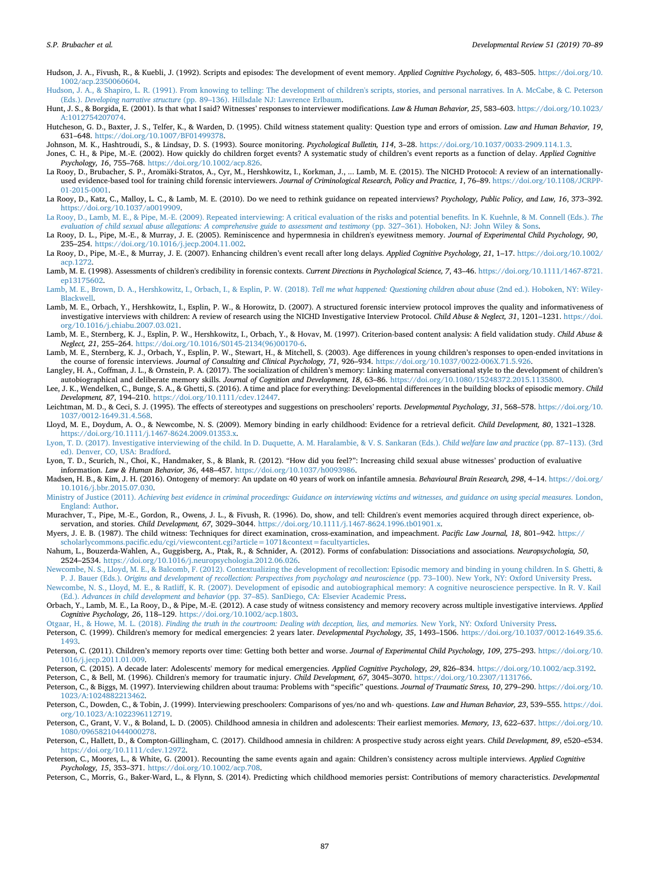- Hudson, J. A., Fivush, R., & Kuebli, J. (1992). Scripts and episodes: The development of event memory. *Applied Cognitive Psychology, 6*, 483–505. [https://doi.org/10.](https://doi.org/10.1002/acp.2350060604) [1002/acp.2350060604.](https://doi.org/10.1002/acp.2350060604)
- [Hudson, J. A., & Shapiro, L. R. \(1991\). From knowing to telling: The development of children's scripts, stories, and personal narratives. In A. McCabe, & C. Peterson](http://refhub.elsevier.com/S0273-2297(18)30009-1/h0290) (Eds.). *Developing narrative structure* [\(pp. 89–136\). Hillsdale NJ: Lawrence Erlbaum](http://refhub.elsevier.com/S0273-2297(18)30009-1/h0290).
- <span id="page-18-21"></span>Hunt, J. S., & Borgida, E. (2001). Is that what I said? Witnesses' responses to interviewer modifications. *Law & Human Behavior, 25*, 583–603. [https://doi.org/10.1023/](https://doi.org/10.1023/A:1012754207074) [A:1012754207074.](https://doi.org/10.1023/A:1012754207074)
- <span id="page-18-12"></span>Hutcheson, G. D., Baxter, J. S., Telfer, K., & Warden, D. (1995). Child witness statement quality: Question type and errors of omission. *Law and Human Behavior, 19*, 631–648. <https://doi.org/10.1007/BF01499378>.
- <span id="page-18-16"></span><span id="page-18-10"></span>Johnson, M. K., Hashtroudi, S., & Lindsay, D. S. (1993). Source monitoring. *Psychological Bulletin, 114*, 3–28. [https://doi.org/10.1037/0033-2909.114.1.3.](https://doi.org/10.1037/0033-2909.114.1.3) Jones, C. H., & Pipe, M.-E. (2002). How quickly do children forget events? A systematic study of children's event reports as a function of delay. *Applied Cognitive Psychology, 16*, 755–768. [https://doi.org/10.1002/acp.826.](https://doi.org/10.1002/acp.826)
- <span id="page-18-0"></span>La Rooy, D., Brubacher, S. P., Aromäki-Stratos, A., Cyr, M., Hershkowitz, I., Korkman, J., ... Lamb, M. E. (2015). The NICHD Protocol: A review of an internationallyused evidence-based tool for training child forensic interviewers. *Journal of Criminological Research, Policy and Practice, 1*, 76–89. [https://doi.org/10.1108/JCRPP-](https://doi.org/10.1108/JCRPP-01-2015-0001)[01-2015-0001.](https://doi.org/10.1108/JCRPP-01-2015-0001)
- La Rooy, D., Katz, C., Malloy, L. C., & Lamb, M. E. (2010). Do we need to rethink guidance on repeated interviews? *Psychology, Public Policy, and Law, 16*, 373–392. <https://doi.org/10.1037/a0019909>.
- <span id="page-18-15"></span>[La Rooy, D., Lamb, M. E., & Pipe, M.-E. \(2009\). Repeated interviewing: A critical evaluation of the risks and potential benefits. In K. Kuehnle, & M. Connell \(Eds.\).](http://refhub.elsevier.com/S0273-2297(18)30009-1/h0325) *The [evaluation of child sexual abuse allegations: A comprehensive guide to assessment and testimony](http://refhub.elsevier.com/S0273-2297(18)30009-1/h0325)* (pp. 327–361). Hoboken, NJ: John Wiley & Sons.
- <span id="page-18-18"></span>La Rooy, D. L., Pipe, M.-E., & Murray, J. E. (2005). Reminiscence and hypermnesia in children's eyewitness memory. *Journal of Experimental Child Psychology, 90*, 235–254. <https://doi.org/10.1016/j.jecp.2004.11.002>.
- <span id="page-18-17"></span>La Rooy, D., Pipe, M.-E., & Murray, J. E. (2007). Enhancing children's event recall after long delays. *Applied Cognitive Psychology, 21*, 1–17. [https://doi.org/10.1002/](https://doi.org/10.1002/acp.1272) [acp.1272.](https://doi.org/10.1002/acp.1272)
- <span id="page-18-23"></span>Lamb, M. E. (1998). Assessments of children's credibility in forensic contexts. *Current Directions in Psychological Science, 7*, 43–46. [https://doi.org/10.1111/1467-8721.](https://doi.org/10.1111/1467-8721.ep13175602) [ep13175602](https://doi.org/10.1111/1467-8721.ep13175602).
- [Lamb, M. E., Brown, D. A., Hershkowitz, I., Orbach, I., & Esplin, P. W. \(2018\).](http://refhub.elsevier.com/S0273-2297(18)30009-1/h0345) *Tell me what happened: Questioning children about abuse* (2nd ed.). Hoboken, NY: Wiley-[Blackwell](http://refhub.elsevier.com/S0273-2297(18)30009-1/h0345).
- <span id="page-18-8"></span>Lamb, M. E., Orbach, Y., Hershkowitz, I., Esplin, P. W., & Horowitz, D. (2007). A structured forensic interview protocol improves the quality and informativeness of investigative interviews with children: A review of research using the NICHD Investigative Interview Protocol. *Child Abuse & Neglect, 31*, 1201–1231. [https://doi.](https://doi.org/10.1016/j.chiabu.2007.03.021) [org/10.1016/j.chiabu.2007.03.021](https://doi.org/10.1016/j.chiabu.2007.03.021).
- <span id="page-18-22"></span>Lamb, M. E., Sternberg, K. J., Esplin, P. W., Hershkowitz, I., Orbach, Y., & Hovav, M. (1997). Criterion-based content analysis: A field validation study. *Child Abuse & Neglect, 21*, 255–264. [https://doi.org/10.1016/S0145-2134\(96\)00170-6](https://doi.org/10.1016/S0145-2134(96)00170-6).
- <span id="page-18-7"></span>Lamb, M. E., Sternberg, K. J., Orbach, Y., Esplin, P. W., Stewart, H., & Mitchell, S. (2003). Age differences in young children's responses to open-ended invitations in the course of forensic interviews. *Journal of Consulting and Clinical Psychology, 71*, 926–934. [https://doi.org/10.1037/0022-006X.71.5.926.](https://doi.org/10.1037/0022-006X.71.5.926)
- <span id="page-18-14"></span>Langley, H. A., Coffman, J. L., & Ornstein, P. A. (2017). The socialization of children's memory: Linking maternal conversational style to the development of children's autobiographical and deliberate memory skills. *Journal of Cognition and Development, 18*, 63–86. [https://doi.org/10.1080/15248372.2015.1135800.](https://doi.org/10.1080/15248372.2015.1135800)
- <span id="page-18-11"></span>Lee, J. K., Wendelken, C., Bunge, S. A., & Ghetti, S. (2016). A time and place for everything: Developmental differences in the building blocks of episodic memory. *Child Development, 87*, 194–210. [https://doi.org/10.1111/cdev.12447.](https://doi.org/10.1111/cdev.12447)
- Leichtman, M. D., & Ceci, S. J. (1995). The effects of stereotypes and suggestions on preschoolers' reports. *Developmental Psychology, 31*, 568–578. [https://doi.org/10.](https://doi.org/10.1037/0012-1649.31.4.568) [1037/0012-1649.31.4.568](https://doi.org/10.1037/0012-1649.31.4.568).
- Lloyd, M. E., Doydum, A. O., & Newcombe, N. S. (2009). Memory binding in early childhood: Evidence for a retrieval deficit. *Child Development, 80*, 1321–1328. <https://doi.org/10.1111/j.1467-8624.2009.01353.x>.
- <span id="page-18-9"></span>[Lyon, T. D. \(2017\). Investigative interviewing of the child. In D. Duquette, A. M. Haralambie, & V. S. Sankaran \(Eds.\).](http://refhub.elsevier.com/S0273-2297(18)30009-1/h0385) *Child welfare law and practice* (pp. 87–113). (3rd [ed\). Denver, CO, USA: Bradford.](http://refhub.elsevier.com/S0273-2297(18)30009-1/h0385)
- <span id="page-18-13"></span>Lyon, T. D., Scurich, N., Choi, K., Handmaker, S., & Blank, R. (2012). "How did you feel?": Increasing child sexual abuse witnesses' production of evaluative information. *Law & Human Behavior, 36*, 448–457. [https://doi.org/10.1037/h0093986.](https://doi.org/10.1037/h0093986)
- <span id="page-18-2"></span>Madsen, H. B., & Kim, J. H. (2016). Ontogeny of memory: An update on 40 years of work on infantile amnesia. *Behavioural Brain Research, 298*, 4–14. [https://doi.org/](https://doi.org/10.1016/j.bbr.2015.07.030) [10.1016/j.bbr.2015.07.030](https://doi.org/10.1016/j.bbr.2015.07.030).
- Ministry of Justice (2011). *[Achieving best evidence in criminal proceedings: Guidance on interviewing victims and witnesses, and guidance on using special measures.](http://refhub.elsevier.com/S0273-2297(18)30009-1/h0400)* London, [England: Author.](http://refhub.elsevier.com/S0273-2297(18)30009-1/h0400)
- Murachver, T., Pipe, M.-E., Gordon, R., Owens, J. L., & Fivush, R. (1996). Do, show, and tell: Children's event memories acquired through direct experience, observation, and stories. *Child Development, 67*, 3029–3044. <https://doi.org/10.1111/j.1467-8624.1996.tb01901.x>.
- Myers, J. E. B. (1987). The child witness: Techniques for direct examination, cross-examination, and impeachment. *Pacific Law Journal, 18*, 801–942. [https://](https://scholarlycommons.pacific.edu/cgi/viewcontent.cgi?article=1071%26context=facultyarticles) [scholarlycommons.pacific.edu/cgi/viewcontent.cgi?article=1071&context=facultyarticles](https://scholarlycommons.pacific.edu/cgi/viewcontent.cgi?article=1071%26context=facultyarticles).
- Nahum, L., Bouzerda-Wahlen, A., Guggisberg, A., Ptak, R., & Schnider, A. (2012). Forms of confabulation: Dissociations and associations. *Neuropsychologia, 50*, 2524–2534. [https://doi.org/10.1016/j.neuropsychologia.2012.06.026.](https://doi.org/10.1016/j.neuropsychologia.2012.06.026)
- [Newcombe, N. S., Lloyd, M. E., & Balcomb, F. \(2012\). Contextualizing the development of recollection: Episodic memory and binding in young children. In S. Ghetti, &](http://refhub.elsevier.com/S0273-2297(18)30009-1/h0420) P. J. Bauer (Eds.). *[Origins and development of recollection: Perspectives from psychology and neuroscience](http://refhub.elsevier.com/S0273-2297(18)30009-1/h0420)* (pp. 73–100). New York, NY: Oxford University Press. [Newcombe, N. S., Lloyd, M. E., & Ratliff, K. R. \(2007\). Development of episodic and autobiographical memory: A cognitive neuroscience perspective. In R. V. Kail](http://refhub.elsevier.com/S0273-2297(18)30009-1/h0425)
- <span id="page-18-4"></span>(Ed.). *Advances in child development and behavior* [\(pp. 37–85\). SanDiego, CA: Elsevier Academic Press.](http://refhub.elsevier.com/S0273-2297(18)30009-1/h0425)
- <span id="page-18-19"></span>Orbach, Y., Lamb, M. E., La Rooy, D., & Pipe, M.-E. (2012). A case study of witness consistency and memory recovery across multiple investigative interviews. *Applied Cognitive Psychology, 26*, 118–129. <https://doi.org/10.1002/acp.1803>.
- Otgaar, H., & Howe, M. L. (2018). *[Finding the truth in the courtroom: Dealing with deception, lies, and memories.](http://refhub.elsevier.com/S0273-2297(18)30009-1/h0435)* New York, NY: Oxford University Press.
- Peterson, C. (1999). Children's memory for medical emergencies: 2 years later. *Developmental Psychology, 35*, 1493–1506. [https://doi.org/10.1037/0012-1649.35.6.](https://doi.org/10.1037/0012-1649.35.6.1493) [1493](https://doi.org/10.1037/0012-1649.35.6.1493).
- <span id="page-18-20"></span>Peterson, C. (2011). Children's memory reports over time: Getting both better and worse. *Journal of Experimental Child Psychology, 109*, 275–293. [https://doi.org/10.](https://doi.org/10.1016/j.jecp.2011.01.009) [1016/j.jecp.2011.01.009](https://doi.org/10.1016/j.jecp.2011.01.009).
- Peterson, C. (2015). A decade later: Adolescents' memory for medical emergencies. *Applied Cognitive Psychology, 29*, 826–834. [https://doi.org/10.1002/acp.3192.](https://doi.org/10.1002/acp.3192)
- <span id="page-18-6"></span>Peterson, C., & Bell, M. (1996). Children's memory for traumatic injury. *Child Development, 67*, 3045–3070. <https://doi.org/10.2307/1131766>.
- Peterson, C., & Biggs, M. (1997). Interviewing children about trauma: Problems with "specific" questions. *Journal of Traumatic Stress, 10*, 279–290. [https://doi.org/10.](https://doi.org/10.1023/A:1024882213462) [1023/A:1024882213462](https://doi.org/10.1023/A:1024882213462).
- Peterson, C., Dowden, C., & Tobin, J. (1999). Interviewing preschoolers: Comparisons of yes/no and wh- questions. *Law and Human Behavior, 23*, 539–555. [https://doi.](https://doi.org/10.1023/A:1022396112719) [org/10.1023/A:1022396112719.](https://doi.org/10.1023/A:1022396112719)
- <span id="page-18-1"></span>Peterson, C., Grant, V. V., & Boland, L. D. (2005). Childhood amnesia in children and adolescents: Their earliest memories. *Memory, 13*, 622–637. [https://doi.org/10.](https://doi.org/10.1080/09658210444000278) [1080/09658210444000278](https://doi.org/10.1080/09658210444000278).
- <span id="page-18-3"></span>Peterson, C., Hallett, D., & Compton-Gillingham, C. (2017). Childhood amnesia in children: A prospective study across eight years. *Child Development, 89*, e520–e534. [https://doi.org/10.1111/cdev.12972.](https://doi.org/10.1111/cdev.12972)
- Peterson, C., Moores, L., & White, G. (2001). Recounting the same events again and again: Children's consistency across multiple interviews. *Applied Cognitive Psychology, 15*, 353–371. [https://doi.org/10.1002/acp.708.](https://doi.org/10.1002/acp.708)
- <span id="page-18-5"></span>Peterson, C., Morris, G., Baker-Ward, L., & Flynn, S. (2014). Predicting which childhood memories persist: Contributions of memory characteristics. *Developmental*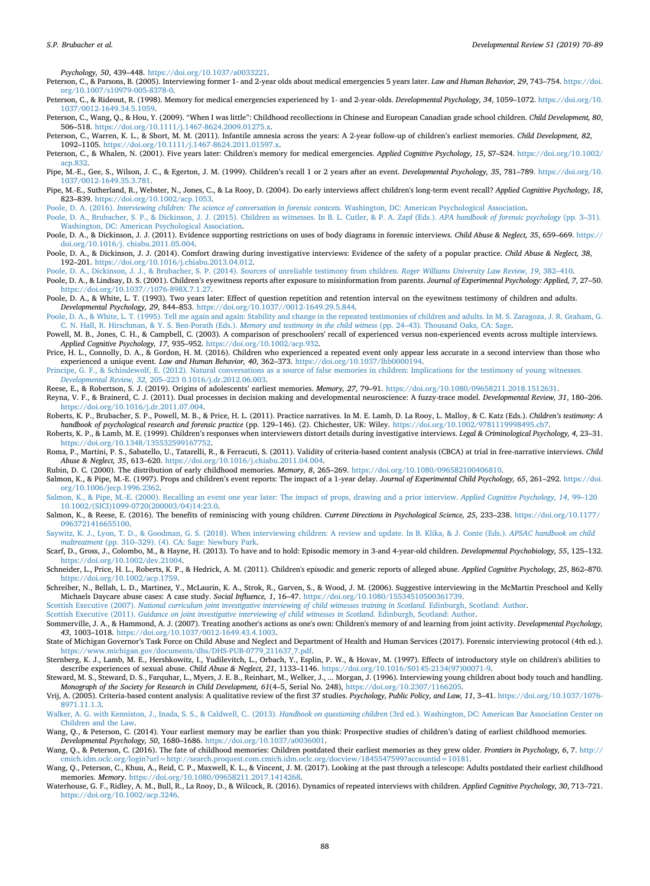*Psychology, 50*, 439–448. [https://doi.org/10.1037/a0033221.](https://doi.org/10.1037/a0033221)

<span id="page-19-8"></span>Peterson, C., & Parsons, B. (2005). Interviewing former 1- and 2-year olds about medical emergencies 5 years later. *Law and Human Behavior, 29*, 743–754. [https://doi.](https://doi.org/10.1007/s10979-005-8378-0) [org/10.1007/s10979-005-8378-0](https://doi.org/10.1007/s10979-005-8378-0).

<span id="page-19-9"></span>Peterson, C., & Rideout, R. (1998). Memory for medical emergencies experienced by 1- and 2-year-olds. *Developmental Psychology, 34*, 1059–1072. [https://doi.org/10.](https://doi.org/10.1037/0012-1649.34.5.1059) [1037/0012-1649.34.5.1059.](https://doi.org/10.1037/0012-1649.34.5.1059)

Peterson, C., Wang, Q., & Hou, Y. (2009). "When I was little": Childhood recollections in Chinese and European Canadian grade school children. *Child Development, 80*, 506–518. [https://doi.org/10.1111/j.1467-8624.2009.01275.x.](https://doi.org/10.1111/j.1467-8624.2009.01275.x)

<span id="page-19-1"></span>Peterson, C., Warren, K. L., & Short, M. M. (2011). Infantile amnesia across the years: A 2-year follow-up of children's earliest memories. *Child Development, 82*, 1092–1105. [https://doi.org/10.1111/j.1467-8624.2011.01597.x.](https://doi.org/10.1111/j.1467-8624.2011.01597.x)

<span id="page-19-7"></span>Peterson, C., & Whalen, N. (2001). Five years later: Children's memory for medical emergencies. *Applied Cognitive Psychology, 15*, S7–S24. [https://doi.org/10.1002/](https://doi.org/10.1002/acp.832) [acp.832](https://doi.org/10.1002/acp.832).

Pipe, M.-E., Gee, S., Wilson, J. C., & Egerton, J. M. (1999). Children's recall 1 or 2 years after an event. *Developmental Psychology, 35*, 781–789. [https://doi.org/10.](https://doi.org/10.1037/0012-1649.35.3.781) [1037/0012-1649.35.3.781](https://doi.org/10.1037/0012-1649.35.3.781).

Pipe, M.-E., Sutherland, R., Webster, N., Jones, C., & La Rooy, D. (2004). Do early interviews affect children's long-term event recall? *Applied Cognitive Psychology, 18*, 823–839. <https://doi.org/10.1002/acp.1053>.

<span id="page-19-6"></span>Poole, D. A. (2016). *[Interviewing children: The science of conversation in forensic contexts.](http://refhub.elsevier.com/S0273-2297(18)30009-1/h0525)* Washington, DC: American Psychological Association.

<span id="page-19-18"></span>[Poole, D. A., Brubacher, S. P., & Dickinson, J. J. \(2015\). Children as witnesses. In B. L. Cutler, & P. A. Zapf \(Eds.\).](http://refhub.elsevier.com/S0273-2297(18)30009-1/h0530) *APA handbook of forensic psychology* (pp. 3–31). [Washington, DC: American Psychological Association.](http://refhub.elsevier.com/S0273-2297(18)30009-1/h0530)

<span id="page-19-10"></span>Poole, D. A., & Dickinson, J. J. (2011). Evidence supporting restrictions on uses of body diagrams in forensic interviews. *Child Abuse & Neglect, 35*, 659–669. [https://](https://doi.org/10.1016/j. chiabu.2011.05.004) [doi.org/10.1016/j. chiabu.2011.05.004.](https://doi.org/10.1016/j. chiabu.2011.05.004)

<span id="page-19-19"></span>Poole, D. A., & Dickinson, J. J. (2014). Comfort drawing during investigative interviews: Evidence of the safety of a popular practice. *Child Abuse & Neglect, 38*, 192–201. [https://doi.org/10.1016/j.chiabu.2013.04.012.](https://doi.org/10.1016/j.chiabu.2013.04.012)

<span id="page-19-12"></span>[Poole, D. A., Dickinson, J. J., & Brubacher, S. P. \(2014\). Sources of unreliable testimony from children.](http://refhub.elsevier.com/S0273-2297(18)30009-1/h0545) *Roger Williams University Law Review, 19*, 382–410.

<span id="page-19-11"></span>Poole, D. A., & Lindsay, D. S. (2001). Children's eyewitness reports after exposure to misinformation from parents. *Journal of Experimental Psychology: Applied, 7*, 27–50. [https://doi.org/10.1037//1076-898X.7.1.27.](https://doi.org/10.1037//1076-898X.7.1.27)

<span id="page-19-14"></span>Poole, D. A., & White, L. T. (1993). Two years later: Effect of question repetition and retention interval on the eyewitness testimony of children and adults. *Developmental Psychology, 29*, 844–853. <https://doi.org/10.1037//0012-1649.29.5.844>.

[Poole, D. A., & White, L. T. \(1995\). Tell me again and again: Stability and change in the repeated testimonies of children and adults. In M. S. Zaragoza, J. R. Graham, G.](http://refhub.elsevier.com/S0273-2297(18)30009-1/h0560) [C. N. Hall, R. Hirschman, & Y. S. Ben-Porath \(Eds.\).](http://refhub.elsevier.com/S0273-2297(18)30009-1/h0560) *Memory and testimony in the child witness* (pp. 24–43). Thousand Oaks, CA: Sage.

Powell, M. B., Jones, C. H., & Campbell, C. (2003). A comparison of preschoolers' recall of experienced versus non-experienced events across multiple interviews. *Applied Cognitive Psychology, 17*, 935–952. [https://doi.org/10.1002/acp.932.](https://doi.org/10.1002/acp.932)

<span id="page-19-17"></span>Price, H. L., Connolly, D. A., & Gordon, H. M. (2016). Children who experienced a repeated event only appear less accurate in a second interview than those who experienced a unique event. *Law and Human Behavior, 40*, 362–373. <https://doi.org/10.1037/lhb0000194>.

[Principe, G. F., & Schindewolf, E. \(2012\). Natural conversations as a source of false memories in children: Implications for the testimony of young witnesses.](http://refhub.elsevier.com/S0273-2297(18)30009-1/h0575) *Developmental Review, 32*[, 205–223 0.1016/j.dr.2012.06.003.](http://refhub.elsevier.com/S0273-2297(18)30009-1/h0575)

<span id="page-19-3"></span>Reese, E., & Robertson, S. J. (2019). Origins of adolescents' earliest memories. *Memory, 27*, 79–91. [https://doi.org/10.1080/09658211.2018.1512631.](https://doi.org/10.1080/09658211.2018.1512631)

<span id="page-19-15"></span>Reyna, V. F., & Brainerd, C. J. (2011). Dual processes in decision making and developmental neuroscience: A fuzzy-trace model. *Developmental Review, 31*, 180–206. <https://doi.org/10.1016/j.dr.2011.07.004>.

<span id="page-19-21"></span>Roberts, K. P., Brubacher, S. P., Powell, M. B., & Price, H. L. (2011). Practice narratives. In M. E. Lamb, D. La Rooy, L. Malloy, & C. Katz (Eds.). *Children's testimony: A handbook of psychological research and forensic practice* (pp. 129–146). (2). Chichester, UK: Wiley. [https://doi.org/10.1002/9781119998495.ch7.](https://doi.org/10.1002/9781119998495.ch7)

<span id="page-19-23"></span>Roberts, K. P., & Lamb, M. E. (1999). Children's responses when interviewers distort details during investigative interviews. *Legal & Criminological Psychology, 4*, 23–31. [https://doi.org/10.1348/135532599167752.](https://doi.org/10.1348/135532599167752)

<span id="page-19-24"></span>Roma, P., Martini, P. S., Sabatello, U., Tatarelli, R., & Ferracuti, S. (2011). Validity of criteria-based content analysis (CBCA) at trial in free-narrative interviews. *Child Abuse & Neglect, 35*, 613–620. <https://doi.org/10.1016/j.chiabu.2011.04.004>.

<span id="page-19-0"></span>Rubin, D. C. (2000). The distribution of early childhood memories. *Memory, 8*, 265–269. <https://doi.org/10.1080/096582100406810>.

<span id="page-19-22"></span>Salmon, K., & Pipe, M.-E. (1997). Props and children's event reports: The impact of a 1-year delay. *Journal of Experimental Child Psychology, 65*, 261–292. [https://doi.](https://doi.org/10.1006/jecp.1996.2362) [org/10.1006/jecp.1996.2362.](https://doi.org/10.1006/jecp.1996.2362)

[Salmon, K., & Pipe, M.-E. \(2000\). Recalling an event one year later: The impact of props, drawing and a prior interview.](http://refhub.elsevier.com/S0273-2297(18)30009-1/h0615) *Applied Cognitive Psychology, 14*, 99–120 [10.1002/\(SICI\)1099-0720\(200003/04\)14:23.0.](http://refhub.elsevier.com/S0273-2297(18)30009-1/h0615)

<span id="page-19-20"></span>Salmon, K., & Reese, E. (2016). The benefits of reminiscing with young children. *Current Directions in Psychological Science*, 25, 233-238. [https://doi.org/10.1177/](https://doi.org/10.1177/0963721416655100) [0963721416655100](https://doi.org/10.1177/0963721416655100).

[Saywitz, K. J., Lyon, T. D., & Goodman, G. S. \(2018\). When interviewing children: A review and update. In B. Klika, & J. Conte \(Eds.\).](http://refhub.elsevier.com/S0273-2297(18)30009-1/h0625) *APSAC handbook on child maltreatment* [\(pp. 310–329\). \(4\). CA: Sage: Newbury Park.](http://refhub.elsevier.com/S0273-2297(18)30009-1/h0625)

<span id="page-19-16"></span>Scarf, D., Gross, J., Colombo, M., & Hayne, H. (2013). To have and to hold: Episodic memory in 3-and 4-year-old children. *Developmental Psychobiology, 55*, 125–132. [https://doi.org/10.1002/dev.21004.](https://doi.org/10.1002/dev.21004)

Schneider, L., Price, H. L., Roberts, K. P., & Hedrick, A. M. (2011). Children's episodic and generic reports of alleged abuse. *Applied Cognitive Psychology, 25*, 862–870. [https://doi.org/10.1002/acp.1759.](https://doi.org/10.1002/acp.1759)

Schreiber, N., Bellah, L. D., Martinez, Y., McLaurin, K. A., Strok, R., Garven, S., & Wood, J. M. (2006). Suggestive interviewing in the McMartin Preschool and Kelly Michaels Daycare abuse cases: A case study. *Social Influence, 1*, 16–47. <https://doi.org/10.1080/15534510500361739>.

Scottish Executive (2007). *[National curriculum joint investigative interviewing of child witnesses training in Scotland.](http://refhub.elsevier.com/S0273-2297(18)30009-1/h0645)* Edinburgh, Scotland: Author.

Scottish Executive (2011). *[Guidance on joint investigative interviewing of child witnesses in Scotland.](http://refhub.elsevier.com/S0273-2297(18)30009-1/h0650)* Edinburgh, Scotland: Author.

Sommerville, J. A., & Hammond, A. J. (2007). Treating another's actions as one's own: Children's memory of and learning from joint activity. *Developmental Psychology, 43*, 1003–1018. [https://doi.org/10.1037/0012-1649.43.4.1003.](https://doi.org/10.1037/0012-1649.43.4.1003)

<span id="page-19-26"></span>State of Michigan Governor's Task Force on Child Abuse and Neglect and Department of Health and Human Services (2017). Forensic interviewing protocol (4th ed.). [https://www.michigan.gov/documents/dhs/DHS-PUB-0779\\_211637\\_7.pdf](https://www.michigan.gov/documents/dhs/DHS-PUB-0779_211637_7.pdf).<br>Sternberg, K. J., Lamb, M. E., Hershkowitz, I., Yudilevitch, L., Orbach, Y., Esplin, P. W., & Hovav, M. (1997). Effects of introductory style on children's

describe experiences of sexual abuse. *Child Abuse & Neglect, 21*, 1133–1146. [https://doi.org/10.1016/S0145-2134\(97\)00071-9](https://doi.org/10.1016/S0145-2134(97)00071-9).

Steward, M. S., Steward, D. S., Farquhar, L., Myers, J. E. B., Reinhart, M., Welker, J., ... Morgan, J. (1996). Interviewing young children about body touch and handling. *Monograph of the Society for Research in Child Development, 61*(4–5, Serial No. 248), [https://doi.org/10.2307/1166205.](https://doi.org/10.2307/1166205)

<span id="page-19-25"></span>Vrij, A. (2005). Criteria-based content analysis: A qualitative review of the first 37 studies. *Psychology, Public Policy, and Law, 11*, 3–41. [https://doi.org/10.1037/1076-](https://doi.org/10.1037/1076-8971.11.1.3) [8971.11.1.3.](https://doi.org/10.1037/1076-8971.11.1.3)

<span id="page-19-13"></span>[Walker, A. G. with Kenniston, J., Inada, S. S., & Caldwell, C.. \(2013\).](http://refhub.elsevier.com/S0273-2297(18)30009-1/h0680) *Handbook on questioning children* (3rd ed.). Washington, DC: American Bar Association Center on [Children and the Law.](http://refhub.elsevier.com/S0273-2297(18)30009-1/h0680)

<span id="page-19-2"></span>Wang, Q., & Peterson, C. (2014). Your earliest memory may be earlier than you think: Prospective studies of children's dating of earliest childhood memories. *Developmental Psychology, 50*, 1680–1686. <https://doi.org/10.1037/a0036001>.

<span id="page-19-4"></span>Wang, Q., & Peterson, C. (2016). The fate of childhood memories: Children postdated their earliest memories as they grew older. *Frontiers in Psychology, 6*, 7. [http://](http://cmich.idm.oclc.org/login?url=http://search.proquest.com.cmich.idm.oclc.org/docview/1845547599?accountid=10181) [cmich.idm.oclc.org/login?url=http://search.proquest.com.cmich.idm.oclc.org/docview/1845547599?accountid=10181](http://cmich.idm.oclc.org/login?url=http://search.proquest.com.cmich.idm.oclc.org/docview/1845547599?accountid=10181).

<span id="page-19-5"></span>Wang, Q., Peterson, C., Khuu, A., Reid, C. P., Maxwell, K. L., & Vincent, J. M. (2017). Looking at the past through a telescope: Adults postdated their earliest childhood memories. *Memory*. [https://doi.org/10.1080/09658211.2017.1414268.](https://doi.org/10.1080/09658211.2017.1414268)

Waterhouse, G. F., Ridley, A. M., Bull, R., La Rooy, D., & Wilcock, R. (2016). Dynamics of repeated interviews with children. *Applied Cognitive Psychology, 30*, 713–721. [https://doi.org/10.1002/acp.3246.](https://doi.org/10.1002/acp.3246)